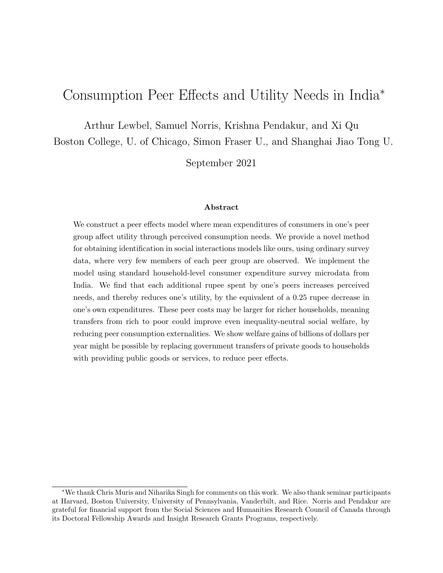# Consumption Peer Effects and Utility Needs in India<sup>∗</sup>

Arthur Lewbel, Samuel Norris, Krishna Pendakur, and Xi Qu

Boston College, U. of Chicago, Simon Fraser U., and Shanghai Jiao Tong U.

September 2021

#### Abstract

We construct a peer effects model where mean expenditures of consumers in one's peer group affect utility through perceived consumption needs. We provide a novel method for obtaining identification in social interactions models like ours, using ordinary survey data, where very few members of each peer group are observed. We implement the model using standard household-level consumer expenditure survey microdata from India. We find that each additional rupee spent by one's peers increases perceived needs, and thereby reduces one's utility, by the equivalent of a 0.25 rupee decrease in one's own expenditures. These peer costs may be larger for richer households, meaning transfers from rich to poor could improve even inequality-neutral social welfare, by reducing peer consumption externalities. We show welfare gains of billions of dollars per year might be possible by replacing government transfers of private goods to households with providing public goods or services, to reduce peer effects.

<sup>∗</sup>We thank Chris Muris and Niharika Singh for comments on this work. We also thank seminar participants at Harvard, Boston University, University of Pennsylvania, Vanderbilt, and Rice. Norris and Pendakur are grateful for financial support from the Social Sciences and Humanities Research Council of Canada through its Doctoral Fellowship Awards and Insight Research Grants Programs, respectively.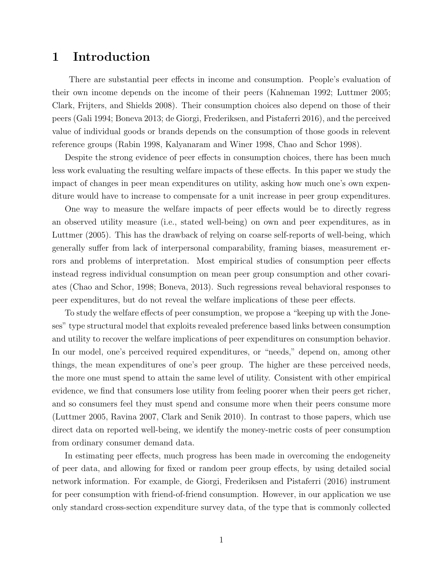# 1 Introduction

There are substantial peer effects in income and consumption. People's evaluation of their own income depends on the income of their peers (Kahneman 1992; Luttmer 2005; Clark, Frijters, and Shields 2008). Their consumption choices also depend on those of their peers (Gali 1994; Boneva 2013; de Giorgi, Frederiksen, and Pistaferri 2016), and the perceived value of individual goods or brands depends on the consumption of those goods in relevent reference groups (Rabin 1998, Kalyanaram and Winer 1998, Chao and Schor 1998).

Despite the strong evidence of peer effects in consumption choices, there has been much less work evaluating the resulting welfare impacts of these effects. In this paper we study the impact of changes in peer mean expenditures on utility, asking how much one's own expenditure would have to increase to compensate for a unit increase in peer group expenditures.

One way to measure the welfare impacts of peer effects would be to directly regress an observed utility measure (i.e., stated well-being) on own and peer expenditures, as in Luttmer (2005). This has the drawback of relying on coarse self-reports of well-being, which generally suffer from lack of interpersonal comparability, framing biases, measurement errors and problems of interpretation. Most empirical studies of consumption peer effects instead regress individual consumption on mean peer group consumption and other covariates (Chao and Schor, 1998; Boneva, 2013). Such regressions reveal behavioral responses to peer expenditures, but do not reveal the welfare implications of these peer effects.

To study the welfare effects of peer consumption, we propose a "keeping up with the Joneses" type structural model that exploits revealed preference based links between consumption and utility to recover the welfare implications of peer expenditures on consumption behavior. In our model, one's perceived required expenditures, or "needs," depend on, among other things, the mean expenditures of one's peer group. The higher are these perceived needs, the more one must spend to attain the same level of utility. Consistent with other empirical evidence, we find that consumers lose utility from feeling poorer when their peers get richer, and so consumers feel they must spend and consume more when their peers consume more (Luttmer 2005, Ravina 2007, Clark and Senik 2010). In contrast to those papers, which use direct data on reported well-being, we identify the money-metric costs of peer consumption from ordinary consumer demand data.

In estimating peer effects, much progress has been made in overcoming the endogeneity of peer data, and allowing for fixed or random peer group effects, by using detailed social network information. For example, de Giorgi, Frederiksen and Pistaferri (2016) instrument for peer consumption with friend-of-friend consumption. However, in our application we use only standard cross-section expenditure survey data, of the type that is commonly collected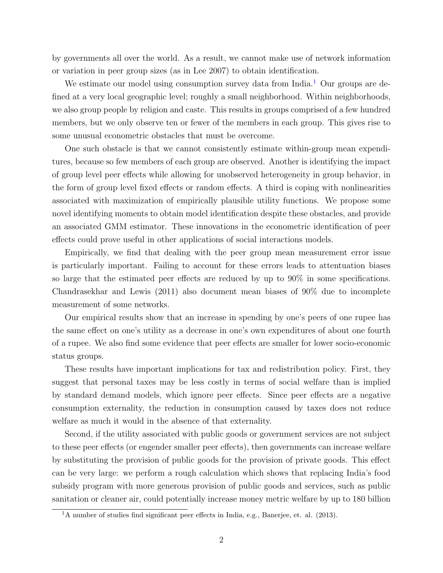by governments all over the world. As a result, we cannot make use of network information or variation in peer group sizes (as in Lee 2007) to obtain identification.

We estimate our model using consumption survey data from India.<sup>[1](#page-2-0)</sup> Our groups are defined at a very local geographic level; roughly a small neighborhood. Within neighborhoods, we also group people by religion and caste. This results in groups comprised of a few hundred members, but we only observe ten or fewer of the members in each group. This gives rise to some unusual econometric obstacles that must be overcome.

One such obstacle is that we cannot consistently estimate within-group mean expenditures, because so few members of each group are observed. Another is identifying the impact of group level peer effects while allowing for unobserved heterogeneity in group behavior, in the form of group level fixed effects or random effects. A third is coping with nonlinearities associated with maximization of empirically plausible utility functions. We propose some novel identifying moments to obtain model identification despite these obstacles, and provide an associated GMM estimator. These innovations in the econometric identification of peer effects could prove useful in other applications of social interactions models.

Empirically, we find that dealing with the peer group mean measurement error issue is particularly important. Failing to account for these errors leads to attentuation biases so large that the estimated peer effects are reduced by up to 90% in some specifications. Chandrasekhar and Lewis (2011) also document mean biases of 90% due to incomplete measurement of some networks.

Our empirical results show that an increase in spending by one's peers of one rupee has the same effect on one's utility as a decrease in one's own expenditures of about one fourth of a rupee. We also find some evidence that peer effects are smaller for lower socio-economic status groups.

These results have important implications for tax and redistribution policy. First, they suggest that personal taxes may be less costly in terms of social welfare than is implied by standard demand models, which ignore peer effects. Since peer effects are a negative consumption externality, the reduction in consumption caused by taxes does not reduce welfare as much it would in the absence of that externality.

Second, if the utility associated with public goods or government services are not subject to these peer effects (or engender smaller peer effects), then governments can increase welfare by substituting the provision of public goods for the provision of private goods. This effect can be very large: we perform a rough calculation which shows that replacing India's food subsidy program with more generous provision of public goods and services, such as public sanitation or cleaner air, could potentially increase money metric welfare by up to 180 billion

<span id="page-2-0"></span><sup>&</sup>lt;sup>1</sup>A number of studies find significant peer effects in India, e.g., Banerjee, et. al. (2013).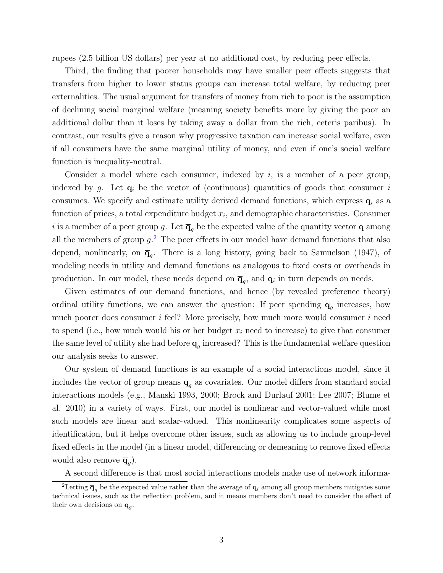rupees (2.5 billion US dollars) per year at no additional cost, by reducing peer effects.

Third, the finding that poorer households may have smaller peer effects suggests that transfers from higher to lower status groups can increase total welfare, by reducing peer externalities. The usual argument for transfers of money from rich to poor is the assumption of declining social marginal welfare (meaning society benefits more by giving the poor an additional dollar than it loses by taking away a dollar from the rich, ceteris paribus). In contrast, our results give a reason why progressive taxation can increase social welfare, even if all consumers have the same marginal utility of money, and even if one's social welfare function is inequality-neutral.

Consider a model where each consumer, indexed by  $i$ , is a member of a peer group, indexed by g. Let  $\mathbf{q}_i$  be the vector of (continuous) quantities of goods that consumer i consumes. We specify and estimate utility derived demand functions, which express  $q_i$  as a function of prices, a total expenditure budget  $x_i$ , and demographic characteristics. Consumer i is a member of a peer group g. Let  $\overline{\mathbf{q}}_q$  be the expected value of the quantity vector **q** among all the members of group  $g^2$  $g^2$ . The peer effects in our model have demand functions that also depend, nonlinearly, on  $\overline{\mathbf{q}}_g$ . There is a long history, going back to Samuelson (1947), of modeling needs in utility and demand functions as analogous to fixed costs or overheads in production. In our model, these needs depend on  $\overline{\mathbf{q}}_g$ , and  $\mathbf{q}_i$  in turn depends on needs.

Given estimates of our demand functions, and hence (by revealed preference theory) ordinal utility functions, we can answer the question: If peer spending  $\overline{\mathbf{q}}_g$  increases, how much poorer does consumer  $i$  feel? More precisely, how much more would consumer  $i$  need to spend (i.e., how much would his or her budget  $x_i$  need to increase) to give that consumer the same level of utility she had before  $\overline{\mathbf{q}}_g$  increased? This is the fundamental welfare question our analysis seeks to answer.

Our system of demand functions is an example of a social interactions model, since it includes the vector of group means  $\overline{\mathbf{q}}_q$  as covariates. Our model differs from standard social interactions models (e.g., Manski 1993, 2000; Brock and Durlauf 2001; Lee 2007; Blume et al. 2010) in a variety of ways. First, our model is nonlinear and vector-valued while most such models are linear and scalar-valued. This nonlinearity complicates some aspects of identification, but it helps overcome other issues, such as allowing us to include group-level fixed effects in the model (in a linear model, differencing or demeaning to remove fixed effects would also remove  $\overline{\mathbf{q}}_g$ ).

<span id="page-3-0"></span>A second difference is that most social interactions models make use of network informa-

<sup>&</sup>lt;sup>2</sup>Letting  $\overline{\mathbf{q}}_q$  be the expected value rather than the average of  $\mathbf{q}_i$  among all group members mitigates some technical issues, such as the reflection problem, and it means members don't need to consider the effect of their own decisions on  $\overline{\mathbf{q}}_g$ .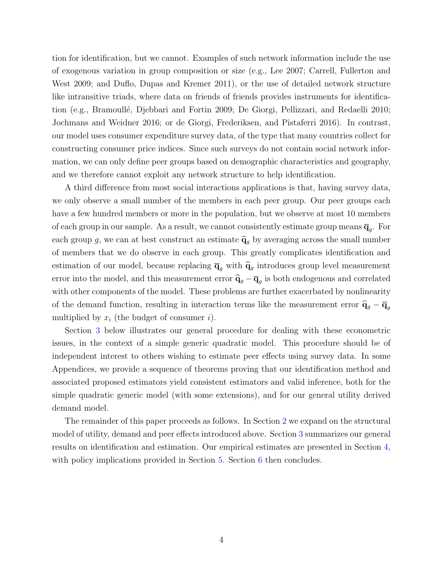tion for identification, but we cannot. Examples of such network information include the use of exogenous variation in group composition or size (e.g., Lee 2007; Carrell, Fullerton and West 2009; and Duflo, Dupas and Kremer 2011), or the use of detailed network structure like intransitive triads, where data on friends of friends provides instruments for identification (e.g., Bramoullé, Djebbari and Fortin 2009; De Giorgi, Pellizzari, and Redaelli 2010; Jochmans and Weidner 2016; or de Giorgi, Frederiksen, and Pistaferri 2016). In contrast, our model uses consumer expenditure survey data, of the type that many countries collect for constructing consumer price indices. Since such surveys do not contain social network information, we can only define peer groups based on demographic characteristics and geography, and we therefore cannot exploit any network structure to help identification.

A third difference from most social interactions applications is that, having survey data, we only observe a small number of the members in each peer group. Our peer groups each have a few hundred members or more in the population, but we observe at most 10 members of each group in our sample. As a result, we cannot consistently estimate group means  $\overline{\mathbf{q}}_g$ . For each group g, we can at best construct an estimate  $\hat{q}_g$  by averaging across the small number of members that we do observe in each group. This greatly complicates identification and estimation of our model, because replacing  $\overline{\mathbf{q}}_q$  with  $\hat{\mathbf{q}}_g$  introduces group level measurement error into the model, and this measurement error  $\hat{\mathbf{q}}_g - \overline{\mathbf{q}}_g$  is both endogenous and correlated with other components of the model. These problems are further exacerbated by nonlinearity of the demand function, resulting in interaction terms like the measurement error  $\hat{\mathbf{q}}_g - \overline{\mathbf{q}}_g$ multiplied by  $x_i$  (the budget of consumer i).

Section [3](#page-10-0) below illustrates our general procedure for dealing with these econometric issues, in the context of a simple generic quadratic model. This procedure should be of independent interest to others wishing to estimate peer effects using survey data. In some Appendices, we provide a sequence of theorems proving that our identification method and associated proposed estimators yield consistent estimators and valid inference, both for the simple quadratic generic model (with some extensions), and for our general utility derived demand model.

The remainder of this paper proceeds as follows. In Section [2](#page-5-0) we expand on the structural model of utility, demand and peer effects introduced above. Section [3](#page-10-0) summarizes our general results on identification and estimation. Our empirical estimates are presented in Section [4,](#page-17-0) with policy implications provided in Section [5.](#page-31-0) Section [6](#page-34-0) then concludes.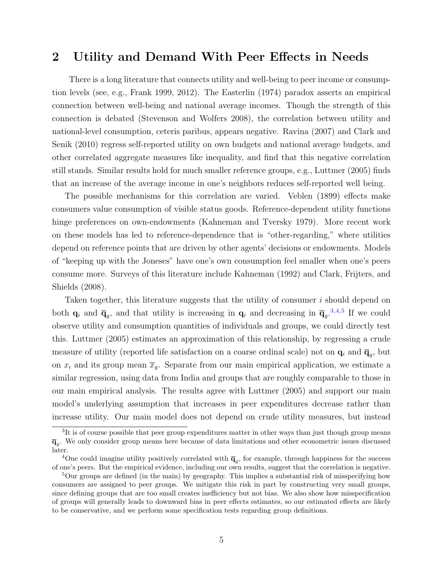# <span id="page-5-0"></span>2 Utility and Demand With Peer Effects in Needs

There is a long literature that connects utility and well-being to peer income or consumption levels (see, e.g., Frank 1999, 2012). The Easterlin (1974) paradox asserts an empirical connection between well-being and national average incomes. Though the strength of this connection is debated (Stevenson and Wolfers 2008), the correlation between utility and national-level consumption, ceteris paribus, appears negative. Ravina (2007) and Clark and Senik (2010) regress self-reported utility on own budgets and national average budgets, and other correlated aggregate measures like inequality, and find that this negative correlation still stands. Similar results hold for much smaller reference groups, e.g., Luttmer (2005) finds that an increase of the average income in one's neighbors reduces self-reported well being.

The possible mechanisms for this correlation are varied. Veblen (1899) effects make consumers value consumption of visible status goods. Reference-dependent utility functions hinge preferences on own-endowments (Kahneman and Tversky 1979). More recent work on these models has led to reference-dependence that is "other-regarding," where utilities depend on reference points that are driven by other agents' decisions or endowments. Models of "keeping up with the Joneses" have one's own consumption feel smaller when one's peers consume more. Surveys of this literature include Kahneman (1992) and Clark, Frijters, and Shields (2008).

Taken together, this literature suggests that the utility of consumer i should depend on both  $\mathbf{q}_i$  and  $\overline{\mathbf{q}}_g$ , and that utility is increasing in  $\mathbf{q}_i$  and decreasing in  $\overline{\mathbf{q}}_g$ .<sup>[3](#page-5-1),[4](#page-5-2),[5](#page-5-3)</sup> If we could observe utility and consumption quantities of individuals and groups, we could directly test this. Luttmer (2005) estimates an approximation of this relationship, by regressing a crude measure of utility (reported life satisfaction on a coarse ordinal scale) not on  $\mathbf{q}_i$  and  $\overline{\mathbf{q}}_g$ , but on  $x_i$  and its group mean  $\overline{x}_g$ . Separate from our main empirical application, we estimate a similar regression, using data from India and groups that are roughly comparable to those in our main empirical analysis. The results agree with Luttmer (2005) and support our main model's underlying assumption that increases in peer expenditures decrease rather than increase utility. Our main model does not depend on crude utility measures, but instead

<span id="page-5-1"></span><sup>&</sup>lt;sup>3</sup>It is of course possible that peer group expenditures matter in other ways than just though group means  $\overline{\mathbf{q}}_g$ . We only consider group means here because of data limitations and other econometric issues discussed later.

<span id="page-5-2"></span><sup>&</sup>lt;sup>4</sup>One could imagine utility positively correlated with  $\overline{q}_g$ , for example, through happiness for the success of one's peers. But the empirical evidence, including our own results, suggest that the correlation is negative.

<span id="page-5-3"></span><sup>&</sup>lt;sup>5</sup>Our groups are defined (in the main) by geography. This implies a substantial risk of misspecifying how consumers are assigned to peer groups. We mitigate this risk in part by constructing very small groups, since defining groups that are too small creates inefficiency but not bias. We also show how misspecification of groups will generally leads to downward bias in peer effects estimates, so our estimated effects are likely to be conservative, and we perform some specification tests regarding group definitions.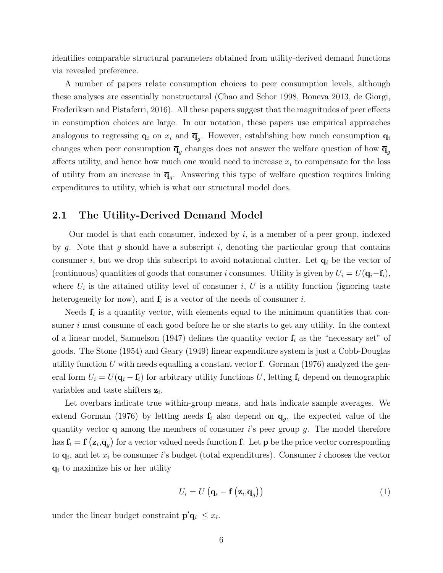identifies comparable structural parameters obtained from utility-derived demand functions via revealed preference.

A number of papers relate consumption choices to peer consumption levels, although these analyses are essentially nonstructural (Chao and Schor 1998, Boneva 2013, de Giorgi, Frederiksen and Pistaferri, 2016). All these papers suggest that the magnitudes of peer effects in consumption choices are large. In our notation, these papers use empirical approaches analogous to regressing  $\mathbf{q}_i$  on  $x_i$  and  $\overline{\mathbf{q}}_g$ . However, establishing how much consumption  $\mathbf{q}_i$ changes when peer consumption  $\overline{\mathbf{q}}_g$  changes does not answer the welfare question of how  $\overline{\mathbf{q}}_g$ affects utility, and hence how much one would need to increase  $x_i$  to compensate for the loss of utility from an increase in  $\overline{\mathbf{q}}_g$ . Answering this type of welfare question requires linking expenditures to utility, which is what our structural model does.

#### 2.1 The Utility-Derived Demand Model

Our model is that each consumer, indexed by  $i$ , is a member of a peer group, indexed by g. Note that g should have a subscript i, denoting the particular group that contains consumer i, but we drop this subscript to avoid notational clutter. Let  $q_i$  be the vector of (continuous) quantities of goods that consumer i consumes. Utility is given by  $U_i = U(\mathbf{q}_i - \mathbf{f}_i)$ , where  $U_i$  is the attained utility level of consumer i, U is a utility function (ignoring taste heterogeneity for now), and  $f_i$  is a vector of the needs of consumer *i*.

Needs  $f_i$  is a quantity vector, with elements equal to the minimum quantities that consumer i must consume of each good before he or she starts to get any utility. In the context of a linear model, Samuelson (1947) defines the quantity vector  $f_i$  as the "necessary set" of goods. The Stone (1954) and Geary (1949) linear expenditure system is just a Cobb-Douglas utility function U with needs equalling a constant vector  $\bf f$ . Gorman (1976) analyzed the general form  $U_i = U(\mathbf{q}_i - \mathbf{f}_i)$  for arbitrary utility functions U, letting  $\mathbf{f}_i$  depend on demographic variables and taste shifters  $z_i$ .

Let overbars indicate true within-group means, and hats indicate sample averages. We extend Gorman (1976) by letting needs  $f_i$  also depend on  $\bar{q}_g$ , the expected value of the quantity vector  $q$  among the members of consumer i's peer group g. The model therefore has  ${\bf f}_i={\bf f}\left({\bf z}_i,\overline{\bf q}_g\right)$  for a vector valued needs function  ${\bf f}$ . Let  ${\bf p}$  be the price vector corresponding to  $\mathbf{q}_i$ , and let  $x_i$  be consumer i's budget (total expenditures). Consumer i chooses the vector  $q_i$  to maximize his or her utility

$$
U_i = U\left(\mathbf{q}_i - \mathbf{f}\left(\mathbf{z}_i, \overline{\mathbf{q}}_g\right)\right) \tag{1}
$$

under the linear budget constraint  $\mathbf{p}'\mathbf{q}_i \leq x_i$ .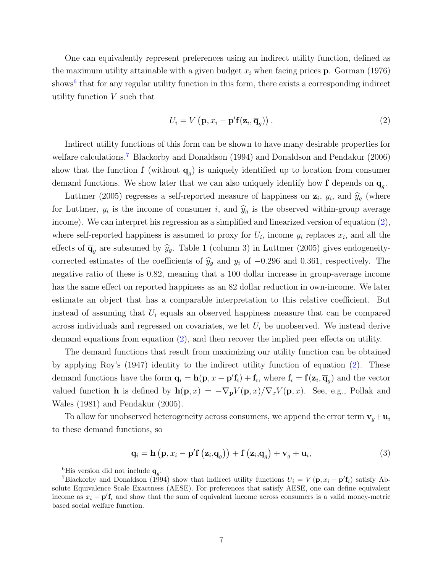One can equivalently represent preferences using an indirect utility function, defined as the maximum utility attainable with a given budget  $x_i$  when facing prices **p**. Gorman (1976) shows<sup>[6](#page-7-0)</sup> that for any regular utility function in this form, there exists a corresponding indirect utility function V such that

<span id="page-7-2"></span>
$$
U_i = V\left(\mathbf{p}, x_i - \mathbf{p}'\mathbf{f}(\mathbf{z}_i, \overline{\mathbf{q}}_g)\right). \tag{2}
$$

Indirect utility functions of this form can be shown to have many desirable properties for welfare calculations.<sup>[7](#page-7-1)</sup> Blackorby and Donaldson (1994) and Donaldson and Pendakur (2006) show that the function  $f$  (without  $\overline{q}_g$ ) is uniquely identified up to location from consumer demand functions. We show later that we can also uniquely identify how **f** depends on  $\overline{\mathbf{q}}_g$ .

Luttmer (2005) regresses a self-reported measure of happiness on  $z_i$ ,  $y_i$ , and  $\hat{y}_g$  (where for Luttmer,  $y_i$  is the income of consumer i, and  $\hat{y}_g$  is the observed within-group average income). We can interpret his regression as a simplified and linearized version of equation [\(2\)](#page-7-2), where self-reported happiness is assumed to proxy for  $U_i$ , income  $y_i$  replaces  $x_i$ , and all the effects of  $\overline{\mathbf{q}}_g$  are subsumed by  $\widehat{y}_g$ . Table 1 (column 3) in Luttmer (2005) gives endogeneitycorrected estimates of the coefficients of  $\hat{y}_g$  and  $y_i$  of −0.296 and 0.361, respectively. The negative ratio of these is 0.82, meaning that a 100 dollar increase in group-average income has the same effect on reported happiness as an 82 dollar reduction in own-income. We later estimate an object that has a comparable interpretation to this relative coefficient. But instead of assuming that  $U_i$  equals an observed happiness measure that can be compared across individuals and regressed on covariates, we let  $U_i$  be unobserved. We instead derive demand equations from equation [\(2\)](#page-7-2), and then recover the implied peer effects on utility.

The demand functions that result from maximizing our utility function can be obtained by applying Roy's (1947) identity to the indirect utility function of equation [\(2\)](#page-7-2). These demand functions have the form  $\mathbf{q}_i = \mathbf{h}(\mathbf{p}, x - \mathbf{p}'\mathbf{f}_i) + \mathbf{f}_i$ , where  $\mathbf{f}_i = \mathbf{f}(\mathbf{z}_i, \overline{\mathbf{q}}_g)$  and the vector valued function h is defined by  $h(\mathbf{p},x) = -\nabla_{\mathbf{p}}V(\mathbf{p},x)/\nabla_xV(\mathbf{p},x)$ . See, e.g., Pollak and Wales (1981) and Pendakur (2005).

To allow for unobserved heterogeneity across consumers, we append the error term  $\mathbf{v}_g+\mathbf{u}_i$ to these demand functions, so

$$
\mathbf{q}_{i} = \mathbf{h}\left(\mathbf{p}, x_{i} - \mathbf{p}'\mathbf{f}\left(\mathbf{z}_{i}, \overline{\mathbf{q}}_{g}\right)\right) + \mathbf{f}\left(\mathbf{z}_{i}, \overline{\mathbf{q}}_{g}\right) + \mathbf{v}_{g} + \mathbf{u}_{i},\tag{3}
$$

<span id="page-7-1"></span><span id="page-7-0"></span><sup>&</sup>lt;sup>6</sup>His version did not include  $\overline{\mathbf{q}}_g$ .

<sup>&</sup>lt;sup>7</sup>Blackorby and Donaldson (1994) show that indirect utility functions  $U_i = V(\mathbf{p}, x_i - \mathbf{p'}\mathbf{f}_i)$  satisfy Absolute Equivalence Scale Exactness (AESE). For preferences that satisfy AESE, one can define equivalent income as  $x_i - \mathbf{p}' \mathbf{f}_i$  and show that the sum of equivalent income across consumers is a valid money-metric based social welfare function.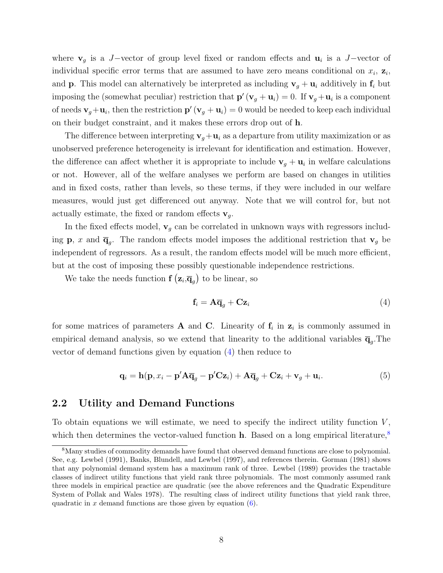where  $\mathbf{v}_g$  is a J-vector of group level fixed or random effects and  $\mathbf{u}_i$  is a J-vector of individual specific error terms that are assumed to have zero means conditional on  $x_i$ ,  $z_i$ , and **p**. This model can alternatively be interpreted as including  $\mathbf{v}_q + \mathbf{u}_i$  additively in  $\mathbf{f}_i$  but imposing the (somewhat peculiar) restriction that  $\mathbf{p}'(\mathbf{v}_g + \mathbf{u}_i) = 0$ . If  $\mathbf{v}_g + \mathbf{u}_i$  is a component of needs  $\mathbf{v}_g + \mathbf{u}_i$ , then the restriction  $\mathbf{p}'(\mathbf{v}_g + \mathbf{u}_i) = 0$  would be needed to keep each individual on their budget constraint, and it makes these errors drop out of h.

The difference between interpreting  $\mathbf{v}_g+\mathbf{u}_i$  as a departure from utility maximization or as unobserved preference heterogeneity is irrelevant for identification and estimation. However, the difference can affect whether it is appropriate to include  $\mathbf{v}_g + \mathbf{u}_i$  in welfare calculations or not. However, all of the welfare analyses we perform are based on changes in utilities and in fixed costs, rather than levels, so these terms, if they were included in our welfare measures, would just get differenced out anyway. Note that we will control for, but not actually estimate, the fixed or random effects  $v_q$ .

In the fixed effects model,  $v_q$  can be correlated in unknown ways with regressors including **p**, x and  $\overline{\mathbf{q}}_g$ . The random effects model imposes the additional restriction that  $\mathbf{v}_g$  be independent of regressors. As a result, the random effects model will be much more efficient, but at the cost of imposing these possibly questionable independence restrictions.

We take the needs function  $f(z_i, \overline{q}_g)$  to be linear, so

<span id="page-8-0"></span>
$$
\mathbf{f}_i = \mathbf{A}\overline{\mathbf{q}}_g + \mathbf{C}\mathbf{z}_i \tag{4}
$$

for some matrices of parameters **A** and **C**. Linearity of  $f_i$  in  $z_i$  is commonly assumed in empirical demand analysis, so we extend that linearity to the additional variables  $\overline{\mathbf{q}}_g$ . The vector of demand functions given by equation [\(4\)](#page-8-0) then reduce to

<span id="page-8-2"></span>
$$
\mathbf{q}_i = \mathbf{h}(\mathbf{p}, x_i - \mathbf{p}' \mathbf{A} \overline{\mathbf{q}}_g - \mathbf{p}' \mathbf{C} \mathbf{z}_i) + \mathbf{A} \overline{\mathbf{q}}_g + \mathbf{C} \mathbf{z}_i + \mathbf{v}_g + \mathbf{u}_i.
$$
 (5)

### 2.2 Utility and Demand Functions

To obtain equations we will estimate, we need to specify the indirect utility function  $V$ , which then determines the vector-valued function  $h$ . Based on a long empirical literature,<sup>[8](#page-8-1)</sup>

<span id="page-8-1"></span><sup>&</sup>lt;sup>8</sup>Many studies of commodity demands have found that observed demand functions are close to polynomial. See, e.g. Lewbel (1991), Banks, Blundell, and Lewbel (1997), and references therein. Gorman (1981) shows that any polynomial demand system has a maximum rank of three. Lewbel (1989) provides the tractable classes of indirect utility functions that yield rank three polynomials. The most commonly assumed rank three models in empirical practice are quadratic (see the above references and the Quadratic Expenditure System of Pollak and Wales 1978). The resulting class of indirect utility functions that yield rank three, quadratic in  $x$  demand functions are those given by equation  $(6)$ .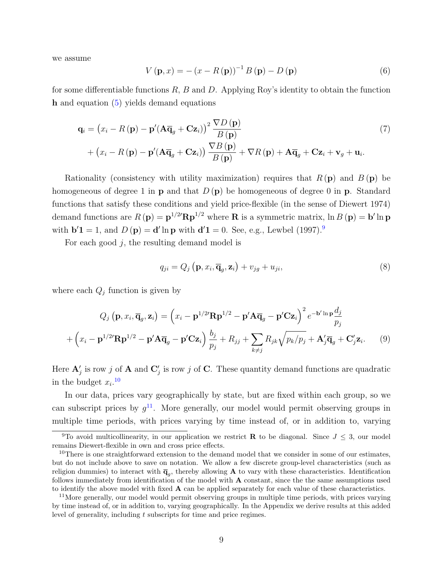we assume

<span id="page-9-0"></span>
$$
V(\mathbf{p}, x) = -(x - R(\mathbf{p}))^{-1} B(\mathbf{p}) - D(\mathbf{p})
$$
\n(6)

for some differentiable functions  $R$ ,  $B$  and  $D$ . Applying Roy's identity to obtain the function h and equation [\(5\)](#page-8-2) yields demand equations

$$
\mathbf{q}_{i} = (x_{i} - R(\mathbf{p}) - \mathbf{p}'(\mathbf{A}\overline{\mathbf{q}}_{g} + \mathbf{C}\mathbf{z}_{i}))^{2} \frac{\nabla D(\mathbf{p})}{B(\mathbf{p})} + (x_{i} - R(\mathbf{p}) - \mathbf{p}'(\mathbf{A}\overline{\mathbf{q}}_{g} + \mathbf{C}\mathbf{z}_{i})) \frac{\nabla B(\mathbf{p})}{B(\mathbf{p})} + \nabla R(\mathbf{p}) + \mathbf{A}\overline{\mathbf{q}}_{g} + \mathbf{C}\mathbf{z}_{i} + \mathbf{v}_{g} + \mathbf{u}_{i}.
$$
 (7)

Rationality (consistency with utility maximization) requires that  $R(\mathbf{p})$  and  $B(\mathbf{p})$  be homogeneous of degree 1 in **p** and that  $D(p)$  be homogeneous of degree 0 in **p**. Standard functions that satisfy these conditions and yield price-flexible (in the sense of Diewert 1974) demand functions are  $R(\mathbf{p}) = \mathbf{p}^{1/2} \mathbf{R} \mathbf{p}^{1/2}$  where **R** is a symmetric matrix,  $\ln B(\mathbf{p}) = \mathbf{b}' \ln \mathbf{p}$ with  $\mathbf{b}'\mathbf{1} = 1$ , and  $D(\mathbf{p}) = \mathbf{d}'\ln \mathbf{p}$  with  $\mathbf{d}'\mathbf{1} = 0$ . See, e.g., Lewbel (1[9](#page-9-1)97).<sup>9</sup>

For each good  $j$ , the resulting demand model is

<span id="page-9-5"></span><span id="page-9-4"></span>
$$
q_{ji} = Q_j \left( \mathbf{p}, x_i, \overline{\mathbf{q}}_g, \mathbf{z}_i \right) + v_{jg} + u_{ji}, \qquad (8)
$$

where each  $Q_j$  function is given by

$$
Q_j(\mathbf{p}, x_i, \overline{\mathbf{q}}_g, \mathbf{z}_i) = \left(x_i - \mathbf{p}^{1/2} \mathbf{R} \mathbf{p}^{1/2} - \mathbf{p}' \mathbf{A} \overline{\mathbf{q}}_g - \mathbf{p}' \mathbf{C} \mathbf{z}_i\right)^2 e^{-\mathbf{b}' \ln \mathbf{p}} \frac{d_j}{p_j} + \left(x_i - \mathbf{p}^{1/2} \mathbf{R} \mathbf{p}^{1/2} - \mathbf{p}' \mathbf{A} \overline{\mathbf{q}}_g - \mathbf{p}' \mathbf{C} \mathbf{z}_i\right) \frac{b_j}{p_j} + R_{jj} + \sum_{k \neq j} R_{jk} \sqrt{p_k / p_j} + \mathbf{A}'_j \overline{\mathbf{q}}_g + \mathbf{C}'_j \mathbf{z}_i.
$$
 (9)

Here  $\mathbf{A}'_j$  is row j of  $\mathbf{A}$  and  $\mathbf{C}'_j$  is row j of C. These quantity demand functions are quadratic in the budget  $x_i$ .<sup>[10](#page-9-2)</sup>

In our data, prices vary geographically by state, but are fixed within each group, so we can subscript prices by  $g^{11}$  $g^{11}$  $g^{11}$ . More generally, our model would permit observing groups in multiple time periods, with prices varying by time instead of, or in addition to, varying

<span id="page-9-1"></span><sup>&</sup>lt;sup>9</sup>To avoid multicollinearity, in our application we restrict **R** to be diagonal. Since  $J \leq 3$ , our model remains Diewert-flexible in own and cross price effects.

<span id="page-9-2"></span><sup>&</sup>lt;sup>10</sup>There is one straightforward extension to the demand model that we consider in some of our estimates, but do not include above to save on notation. We allow a few discrete group-level characteristics (such as religion dummies) to interact with  $\overline{\mathbf{q}}_g$ , thereby allowing **A** to vary with these characteristics. Identification follows immediately from identification of the model with A constant, since the the same assumptions used to identify the above model with fixed A can be applied separately for each value of these characteristics.

<span id="page-9-3"></span><sup>&</sup>lt;sup>11</sup>More generally, our model would permit observing groups in multiple time periods, with prices varying by time instead of, or in addition to, varying geographically. In the Appendix we derive results at this added level of generality, including t subscripts for time and price regimes.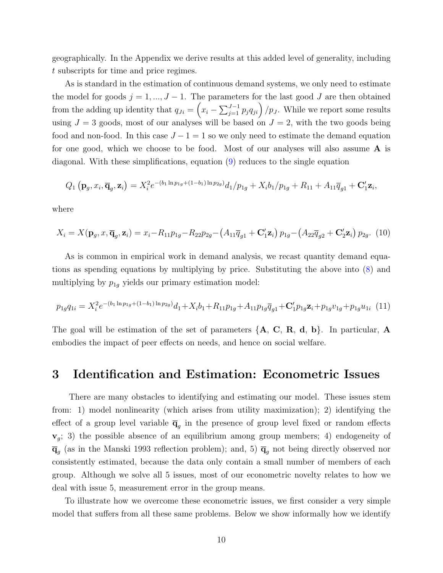geographically. In the Appendix we derive results at this added level of generality, including t subscripts for time and price regimes.

As is standard in the estimation of continuous demand systems, we only need to estimate the model for goods  $j = 1, ..., J - 1$ . The parameters for the last good J are then obtained from the adding up identity that  $q_{Ji} = \left(x_i - \sum_{j=1}^{J-1} p_j q_{ji}\right) / p_J$ . While we report some results using  $J = 3$  goods, most of our analyses will be based on  $J = 2$ , with the two goods being food and non-food. In this case  $J - 1 = 1$  so we only need to estimate the demand equation for one good, which we choose to be food. Most of our analyses will also assume A is diagonal. With these simplifications, equation [\(9\)](#page-9-4) reduces to the single equation

$$
Q_1\left(\mathbf{p}_g, x_i, \overline{\mathbf{q}}_g, \mathbf{z}_i\right) = X_i^2 e^{-(b_1 \ln p_{1g} + (1-b_1) \ln p_{2g})} d_1/p_{1g} + X_i b_1/p_{1g} + R_{11} + A_{11} \overline{q}_{g1} + \mathbf{C}'_1 \mathbf{z}_i,
$$

where

<span id="page-10-2"></span>
$$
X_i = X(\mathbf{p}_g, x, \overline{\mathbf{q}}_g, \mathbf{z}_i) = x_i - R_{11}p_{1g} - R_{22}p_{2g} - \left(A_{11}\overline{q}_{g1} + \mathbf{C}_1'\mathbf{z}_i\right)p_{1g} - \left(A_{22}\overline{q}_{g2} + \mathbf{C}_2'\mathbf{z}_i\right)p_{2g}. \tag{10}
$$

As is common in empirical work in demand analysis, we recast quantity demand equations as spending equations by multiplying by price. Substituting the above into [\(8\)](#page-9-5) and multiplying by  $p_{1q}$  yields our primary estimation model:

<span id="page-10-1"></span>
$$
p_{1g}q_{1i} = X_i^2 e^{-(b_1 \ln p_{1g} + (1 - b_1) \ln p_{2g})} d_1 + X_i b_1 + R_{11} p_{1g} + A_{11} p_{1g} \overline{q}_{g1} + \mathbf{C}'_1 p_{1g} \mathbf{z}_i + p_{1g} v_{1g} + p_{1g} u_{1i} \tag{11}
$$

The goal will be estimation of the set of parameters  ${A, C, R, d, b}$ . In particular, A embodies the impact of peer effects on needs, and hence on social welfare.

### <span id="page-10-0"></span>3 Identification and Estimation: Econometric Issues

There are many obstacles to identifying and estimating our model. These issues stem from: 1) model nonlinearity (which arises from utility maximization); 2) identifying the effect of a group level variable  $\overline{\mathbf{q}}_g$  in the presence of group level fixed or random effects  $\mathbf{v}_g$ ; 3) the possible absence of an equilibrium among group members; 4) endogeneity of  $\overline{\mathbf{q}}_g$  (as in the Manski 1993 reflection problem); and, 5)  $\overline{\mathbf{q}}_g$  not being directly observed nor consistently estimated, because the data only contain a small number of members of each group. Although we solve all 5 issues, most of our econometric novelty relates to how we deal with issue 5, measurement error in the group means.

To illustrate how we overcome these econometric issues, we first consider a very simple model that suffers from all these same problems. Below we show informally how we identify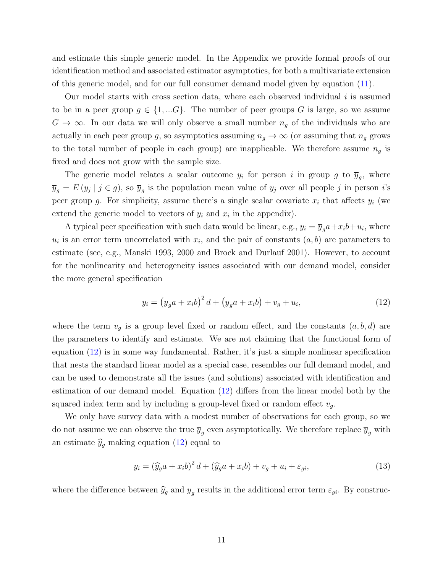and estimate this simple generic model. In the Appendix we provide formal proofs of our identification method and associated estimator asymptotics, for both a multivariate extension of this generic model, and for our full consumer demand model given by equation [\(11\)](#page-10-1).

Our model starts with cross section data, where each observed individual  $i$  is assumed to be in a peer group  $g \in \{1, \ldots G\}$ . The number of peer groups G is large, so we assume  $G \to \infty$ . In our data we will only observe a small number  $n<sub>g</sub>$  of the individuals who are actually in each peer group g, so asymptotics assuming  $n_g \to \infty$  (or assuming that  $n_g$  grows to the total number of people in each group) are inapplicable. We therefore assume  $n<sub>g</sub>$  is fixed and does not grow with the sample size.

The generic model relates a scalar outcome  $y_i$  for person i in group g to  $\overline{y}_g$ , where  $\overline{y}_g = E(y_j | j \in g)$ , so  $\overline{y}_g$  is the population mean value of  $y_j$  over all people j in person i's peer group g. For simplicity, assume there's a single scalar covariate  $x_i$  that affects  $y_i$  (we extend the generic model to vectors of  $y_i$  and  $x_i$  in the appendix).

A typical peer specification with such data would be linear, e.g.,  $y_i = \overline{y}_g a + x_i b + u_i$ , where  $u_i$  is an error term uncorrelated with  $x_i$ , and the pair of constants  $(a, b)$  are parameters to estimate (see, e.g., Manski 1993, 2000 and Brock and Durlauf 2001). However, to account for the nonlinearity and heterogeneity issues associated with our demand model, consider the more general specification

<span id="page-11-0"></span>
$$
y_i = \left(\overline{y}_g a + x_i b\right)^2 d + \left(\overline{y}_g a + x_i b\right) + v_g + u_i,\tag{12}
$$

where the term  $v<sub>g</sub>$  is a group level fixed or random effect, and the constants  $(a, b, d)$  are the parameters to identify and estimate. We are not claiming that the functional form of equation [\(12\)](#page-11-0) is in some way fundamental. Rather, it's just a simple nonlinear specification that nests the standard linear model as a special case, resembles our full demand model, and can be used to demonstrate all the issues (and solutions) associated with identification and estimation of our demand model. Equation [\(12\)](#page-11-0) differs from the linear model both by the squared index term and by including a group-level fixed or random effect  $v_q$ .

We only have survey data with a modest number of observations for each group, so we do not assume we can observe the true  $\overline{y}_g$  even asymptotically. We therefore replace  $\overline{y}_g$  with an estimate  $\hat{y}_g$  making equation [\(12\)](#page-11-0) equal to

<span id="page-11-1"></span>
$$
y_i = \left(\widehat{y}_g a + x_i b\right)^2 d + \left(\widehat{y}_g a + x_i b\right) + v_g + u_i + \varepsilon_{gi},\tag{13}
$$

where the difference between  $\hat{y}_g$  and  $\overline{y}_g$  results in the additional error term  $\varepsilon_{gi}$ . By construc-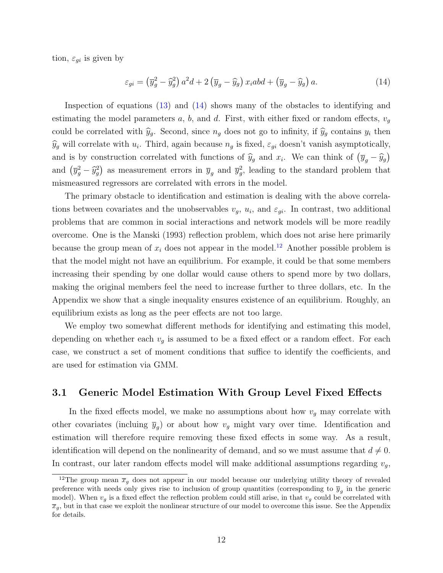tion,  $\varepsilon_{qi}$  is given by

<span id="page-12-0"></span>
$$
\varepsilon_{gi} = \left(\overline{y}_g^2 - \widehat{y}_g^2\right) a^2 d + 2 \left(\overline{y}_g - \widehat{y}_g\right) x_i abd + \left(\overline{y}_g - \widehat{y}_g\right) a. \tag{14}
$$

Inspection of equations [\(13\)](#page-11-1) and [\(14\)](#page-12-0) shows many of the obstacles to identifying and estimating the model parameters a, b, and d. First, with either fixed or random effects,  $v_g$ could be correlated with  $\hat{y}_g$ . Second, since  $n_g$  does not go to infinity, if  $\hat{y}_g$  contains  $y_i$  then  $\hat{y}_g$  will correlate with  $u_i$ . Third, again because  $n_g$  is fixed,  $\varepsilon_{gi}$  doesn't vanish asymptotically, and is by construction correlated with functions of  $\hat{y}_g$  and  $x_i$ . We can think of  $(\overline{y}_g - \hat{y}_g)$ and  $(\overline{y}_g^2 - \widehat{y}_g^2)$  as measurement errors in  $\overline{y}_g$  and  $\overline{y}_g^2$ , leading to the standard problem that mismeasured regressors are correlated with errors in the model.

The primary obstacle to identification and estimation is dealing with the above correlations between covariates and the unobservables  $v_g$ ,  $u_i$ , and  $\varepsilon_{gi}$ . In contrast, two additional problems that are common in social interactions and network models will be more readily overcome. One is the Manski (1993) reflection problem, which does not arise here primarily because the group mean of  $x_i$  does not appear in the model.<sup>[12](#page-12-1)</sup> Another possible problem is that the model might not have an equilibrium. For example, it could be that some members increasing their spending by one dollar would cause others to spend more by two dollars, making the original members feel the need to increase further to three dollars, etc. In the Appendix we show that a single inequality ensures existence of an equilibrium. Roughly, an equilibrium exists as long as the peer effects are not too large.

We employ two somewhat different methods for identifying and estimating this model, depending on whether each  $v<sub>g</sub>$  is assumed to be a fixed effect or a random effect. For each case, we construct a set of moment conditions that suffice to identify the coefficients, and are used for estimation via GMM.

### 3.1 Generic Model Estimation With Group Level Fixed Effects

In the fixed effects model, we make no assumptions about how  $v<sub>g</sub>$  may correlate with other covariates (incluing  $\overline{y}_g$ ) or about how  $v_g$  might vary over time. Identification and estimation will therefore require removing these fixed effects in some way. As a result, identification will depend on the nonlinearity of demand, and so we must assume that  $d \neq 0$ . In contrast, our later random effects model will make additional assumptions regarding  $v<sub>g</sub>$ ,

<span id="page-12-1"></span><sup>&</sup>lt;sup>12</sup>The group mean  $\bar{x}_g$  does not appear in our model because our underlying utility theory of revealed preference with needs only gives rise to inclusion of group quantities (corresponding to  $\bar{y}_g$  in the generic model). When  $v_g$  is a fixed effect the reflection problem could still arise, in that  $v_g$  could be correlated with  $\overline{x}_q$ , but in that case we exploit the nonlinear structure of our model to overcome this issue. See the Appendix for details.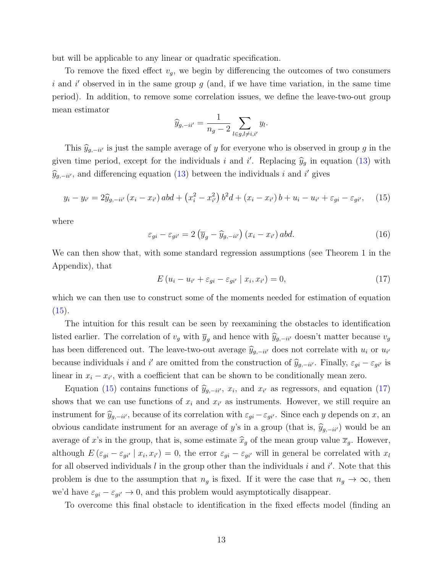but will be applicable to any linear or quadratic specification.

To remove the fixed effect  $v_q$ , we begin by differencing the outcomes of two consumers i and i' observed in in the same group  $g$  (and, if we have time variation, in the same time period). In addition, to remove some correlation issues, we define the leave-two-out group mean estimator

$$
\widehat{y}_{g,-ii'} = \frac{1}{n_g - 2} \sum_{l \in g, l \neq i, i'} y_l.
$$

This  $\widehat{y}_{g,-ii'}$  is just the sample average of y for everyone who is observed in group g in the given time period, except for the individuals i and i'. Replacing  $\hat{y}_g$  in equation [\(13\)](#page-11-1) with  $\widehat{y}_{g,-ii'}$ , and differencing equation [\(13\)](#page-11-1) between the individuals i and i' gives

<span id="page-13-0"></span>
$$
y_i - y_{i'} = 2\hat{y}_{g, -i i'} (x_i - x_{i'}) \, abd + (x_i^2 - x_{i'}^2) \, b^2 d + (x_i - x_{i'}) \, b + u_i - u_{i'} + \varepsilon_{gi} - \varepsilon_{gi'}, \tag{15}
$$

where

$$
\varepsilon_{gi} - \varepsilon_{gi'} = 2 \left( \overline{y}_g - \widehat{y}_{g, -ii'} \right) (x_i - x_{i'}) \, abd. \tag{16}
$$

We can then show that, with some standard regression assumptions (see Theorem 1 in the Appendix), that

<span id="page-13-1"></span>
$$
E(u_i - u_{i'} + \varepsilon_{gi} - \varepsilon_{gi'} \mid x_i, x_{i'} ) = 0,
$$
\n
$$
(17)
$$

which we can then use to construct some of the moments needed for estimation of equation  $(15).$  $(15).$ 

The intuition for this result can be seen by reexamining the obstacles to identification listed earlier. The correlation of  $v_g$  with  $\bar{y}_g$  and hence with  $\hat{y}_{g,-ii'}$  doesn't matter because  $v_g$ has been differenced out. The leave-two-out average  $\hat{y}_{g,-ii'}$  does not correlate with  $u_i$  or  $u_{i'}$ because individuals i and i' are omitted from the construction of  $\hat{y}_{g,-ii'}$ . Finally,  $\varepsilon_{gi} - \varepsilon_{gi'}$  is linear in  $x_i - x_{i'}$ , with a coefficient that can be shown to be conditionally mean zero.

Equation [\(15\)](#page-13-0) contains functions of  $\hat{y}_{g,-ii'}$ ,  $x_i$ , and  $x_{i'}$  as regressors, and equation [\(17\)](#page-13-1) shows that we can use functions of  $x_i$  and  $x_{i'}$  as instruments. However, we still require an instrument for  $\hat{y}_{g,-ii'}$ , because of its correlation with  $\varepsilon_{gi} - \varepsilon_{gi'}$ . Since each y depends on x, an obvious candidate instrument for an average of y's in a group (that is,  $\hat{y}_{g,-ii'}$ ) would be an average of x's in the group, that is, some estimate  $\hat{x}_g$  of the mean group value  $\overline{x}_g$ . However, although  $E(\varepsilon_{gi} - \varepsilon_{gi'} | x_i, x_{i'}) = 0$ , the error  $\varepsilon_{gi} - \varepsilon_{gi'}$  will in general be correlated with  $x_i$ for all observed individuals  $l$  in the group other than the individuals  $i$  and  $i'$ . Note that this problem is due to the assumption that  $n_g$  is fixed. If it were the case that  $n_g \to \infty$ , then we'd have  $\varepsilon_{gi} - \varepsilon_{gi'} \to 0$ , and this problem would asymptotically disappear.

To overcome this final obstacle to identification in the fixed effects model (finding an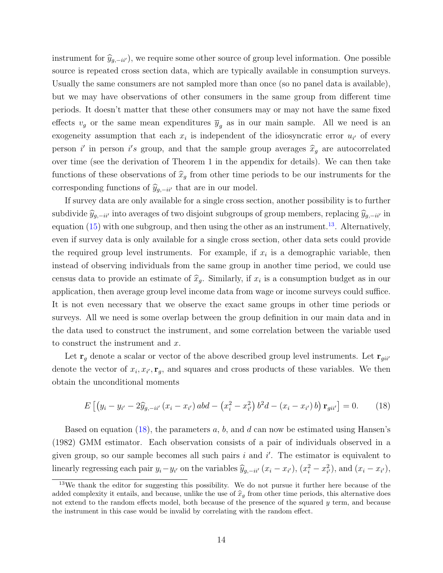instrument for  $\hat{y}_{g,-ii'}$ , we require some other source of group level information. One possible source is repeated cross section data, which are typically available in consumption surveys. Usually the same consumers are not sampled more than once (so no panel data is available), but we may have observations of other consumers in the same group from different time periods. It doesn't matter that these other consumers may or may not have the same fixed effects  $v_g$  or the same mean expenditures  $\overline{y}_g$  as in our main sample. All we need is an exogeneity assumption that each  $x_i$  is independent of the idiosyncratic error  $u_{i'}$  of every person i' in person i's group, and that the sample group averages  $\hat{x}_g$  are autocorrelated over time (see the derivation of Theorem 1 in the appendix for details). We can then take functions of these observations of  $\hat{x}_q$  from other time periods to be our instruments for the corresponding functions of  $\hat{y}_{g,-ii'}$  that are in our model.

If survey data are only available for a single cross section, another possibility is to further subdivide  $\hat{y}_{g,-ii'}$  into averages of two disjoint subgroups of group members, replacing  $\hat{y}_{g,-ii'}$  in equation  $(15)$  with one subgroup, and then using the other as an instrument.<sup>[13](#page-14-0)</sup>. Alternatively, even if survey data is only available for a single cross section, other data sets could provide the required group level instruments. For example, if  $x_i$  is a demographic variable, then instead of observing individuals from the same group in another time period, we could use census data to provide an estimate of  $\hat{x}_g$ . Similarly, if  $x_i$  is a consumption budget as in our application, then average group level income data from wage or income surveys could suffice. It is not even necessary that we observe the exact same groups in other time periods or surveys. All we need is some overlap between the group definition in our main data and in the data used to construct the instrument, and some correlation between the variable used to construct the instrument and x.

Let  $\mathbf{r}_g$  denote a scalar or vector of the above described group level instruments. Let  $\mathbf{r}_{gii'}$ denote the vector of  $x_i, x_{i'}, \mathbf{r}_g$ , and squares and cross products of these variables. We then obtain the unconditional moments

<span id="page-14-1"></span>
$$
E\left[\left(y_i - y_{i'} - 2\hat{y}_{g, -i i'}\left(x_i - x_{i'}\right)abd - \left(x_i^2 - x_{i'}^2\right)b^2d - \left(x_i - x_{i'}\right)b\right)\mathbf{r}_{g i i'}\right] = 0. \tag{18}
$$

Based on equation [\(18\)](#page-14-1), the parameters a, b, and d can now be estimated using Hansen's (1982) GMM estimator. Each observation consists of a pair of individuals observed in a given group, so our sample becomes all such pairs  $i$  and  $i'$ . The estimator is equivalent to linearly regressing each pair  $y_i - y_{i'}$  on the variables  $\hat{y}_{g,-ii'}(x_i - x_{i'}), (x_i^2 - x_{i'}^2)$ , and  $(x_i - x_{i'}),$ 

<span id="page-14-0"></span><sup>&</sup>lt;sup>13</sup>We thank the editor for suggesting this possibility. We do not pursue it further here because of the added complexity it entails, and because, unlike the use of  $\hat{x}_q$  from other time periods, this alternative does not extend to the random effects model, both because of the presence of the squared y term, and because the instrument in this case would be invalid by correlating with the random effect.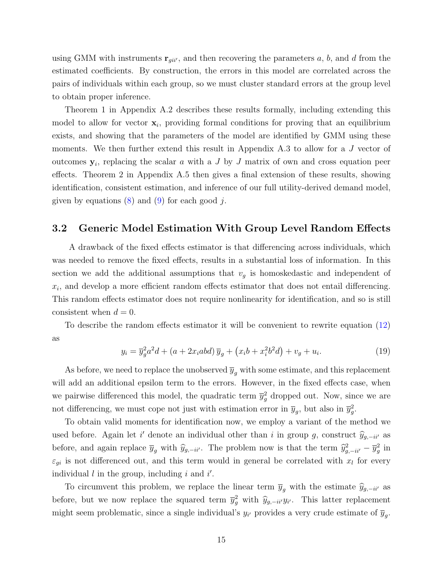using GMM with instruments  $\mathbf{r}_{gii'}$ , and then recovering the parameters a, b, and d from the estimated coefficients. By construction, the errors in this model are correlated across the pairs of individuals within each group, so we must cluster standard errors at the group level to obtain proper inference.

Theorem 1 in Appendix A.2 describes these results formally, including extending this model to allow for vector  $x_i$ , providing formal conditions for proving that an equilibrium exists, and showing that the parameters of the model are identified by GMM using these moments. We then further extend this result in Appendix A.3 to allow for a J vector of outcomes  $y_i$ , replacing the scalar a with a J by J matrix of own and cross equation peer effects. Theorem 2 in Appendix A.5 then gives a final extension of these results, showing identification, consistent estimation, and inference of our full utility-derived demand model, given by equations  $(8)$  and  $(9)$  for each good j.

### 3.2 Generic Model Estimation With Group Level Random Effects

A drawback of the fixed effects estimator is that differencing across individuals, which was needed to remove the fixed effects, results in a substantial loss of information. In this section we add the additional assumptions that  $v<sub>g</sub>$  is homoskedastic and independent of  $x_i$ , and develop a more efficient random effects estimator that does not entail differencing. This random effects estimator does not require nonlinearity for identification, and so is still consistent when  $d = 0$ .

To describe the random effects estimator it will be convenient to rewrite equation [\(12\)](#page-11-0) as

<span id="page-15-0"></span>
$$
y_i = \overline{y}_g^2 a^2 d + (a + 2x_i abd) \overline{y}_g + (x_i b + x_i^2 b^2 d) + v_g + u_i.
$$
 (19)

As before, we need to replace the unobserved  $\bar{y}_q$  with some estimate, and this replacement will add an additional epsilon term to the errors. However, in the fixed effects case, when we pairwise differenced this model, the quadratic term  $\bar{y}_g^2$  dropped out. Now, since we are not differencing, we must cope not just with estimation error in  $\overline{y}_g$ , but also in  $\overline{y}_g^2$ .

To obtain valid moments for identification now, we employ a variant of the method we used before. Again let i' denote an individual other than i in group g, construct  $\hat{y}_{g,-ii'}$  as before, and again replace  $\overline{y}_g$  with  $\widehat{y}_{g,-ii'}$ . The problem now is that the term  $\widehat{y}_{g,-ii'}^2 - \overline{y}_g^2$  in  $\varepsilon_{gi}$  is not differenced out, and this term would in general be correlated with  $x_l$  for every individual  $l$  in the group, including  $i$  and  $i'$ .

To circumvent this problem, we replace the linear term  $\bar{y}_g$  with the estimate  $\hat{y}_{g,-ii'}$  as before, but we now replace the squared term  $\overline{y}_g^2$  with  $\hat{y}_{g,-ii'}y_{i'}$ . This latter replacement might seem problematic, since a single individual's  $y_{i'}$  provides a very crude estimate of  $\overline{y}_g$ .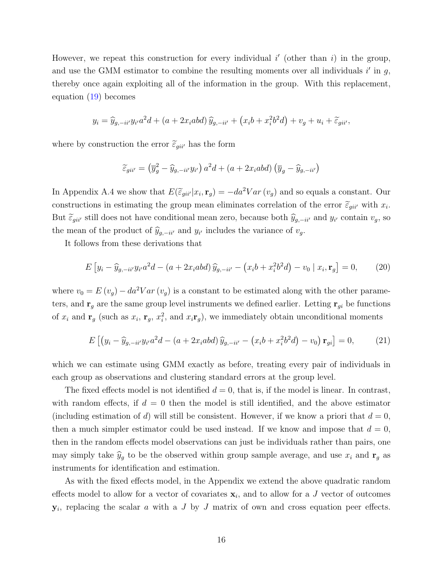However, we repeat this construction for every individual  $i'$  (other than  $i$ ) in the group, and use the GMM estimator to combine the resulting moments over all individuals  $i'$  in  $g$ , thereby once again exploiting all of the information in the group. With this replacement, equation [\(19\)](#page-15-0) becomes

$$
y_i = \widehat{y}_{g,-ii'} y_{i'} a^2 d + (a + 2x_i abd) \widehat{y}_{g,-ii'} + (x_i b + x_i^2 b^2 d) + v_g + u_i + \widetilde{\varepsilon}_{gi i'},
$$

where by construction the error  $\tilde{\varepsilon}_{gii'}$  has the form

$$
\widetilde{\varepsilon}_{gii'} = (\overline{y}_g^2 - \widehat{y}_{g,-ii'} y_{i'}) a^2 d + (a + 2x_i abd) (\overline{y}_g - \widehat{y}_{g,-ii'})
$$

In Appendix A.4 we show that  $E(\tilde{\epsilon}_{gii'}|x_i, \mathbf{r}_g) = -da^2Var(v_g)$  and so equals a constant. Our constructions in estimating the group mean eliminates correlation of the error  $\tilde{\epsilon}_{gii'}$  with  $x_i$ . But  $\tilde{\varepsilon}_{gii'}$  still does not have conditional mean zero, because both  $\hat{y}_{g,-ii'}$  and  $y_{i'}$  contain  $v_g$ , so the mean of the product of  $\hat{y}_{g,-ii'}$  and  $y_{i'}$  includes the variance of  $v_g$ .

It follows from these derivations that

<span id="page-16-1"></span>
$$
E[y_i - \hat{y}_{g, -i i'} y_{i'} a^2 d - (a + 2x_i abd) \hat{y}_{g, -i i'} - (x_i b + x_i^2 b^2 d) - v_0 | x_i, \mathbf{r}_g] = 0,
$$
 (20)

where  $v_0 = E(v_q) - da^2Var(v_q)$  is a constant to be estimated along with the other parameters, and  $\mathbf{r}_g$  are the same group level instruments we defined earlier. Letting  $\mathbf{r}_{gi}$  be functions of  $x_i$  and  $\mathbf{r}_g$  (such as  $x_i$ ,  $\mathbf{r}_g$ ,  $x_i^2$ , and  $x_i\mathbf{r}_g$ ), we immediately obtain unconditional moments

<span id="page-16-0"></span>
$$
E\left[\left(y_i - \hat{y}_{g, -i i'} y_{i'} a^2 d - (a + 2x_i abd)\hat{y}_{g, -i i'} - (x_i b + x_i^2 b^2 d) - v_0\right) \mathbf{r}_{gi}\right] = 0, \quad (21)
$$

which we can estimate using GMM exactly as before, treating every pair of individuals in each group as observations and clustering standard errors at the group level.

The fixed effects model is not identified  $d = 0$ , that is, if the model is linear. In contrast, with random effects, if  $d = 0$  then the model is still identified, and the above estimator (including estimation of d) will still be consistent. However, if we know a priori that  $d = 0$ , then a much simpler estimator could be used instead. If we know and impose that  $d = 0$ , then in the random effects model observations can just be individuals rather than pairs, one may simply take  $\hat{y}_g$  to be the observed within group sample average, and use  $x_i$  and  $\mathbf{r}_g$  as instruments for identification and estimation.

As with the fixed effects model, in the Appendix we extend the above quadratic random effects model to allow for a vector of covariates  $x_i$ , and to allow for a J vector of outcomes  $y_i$ , replacing the scalar a with a J by J matrix of own and cross equation peer effects.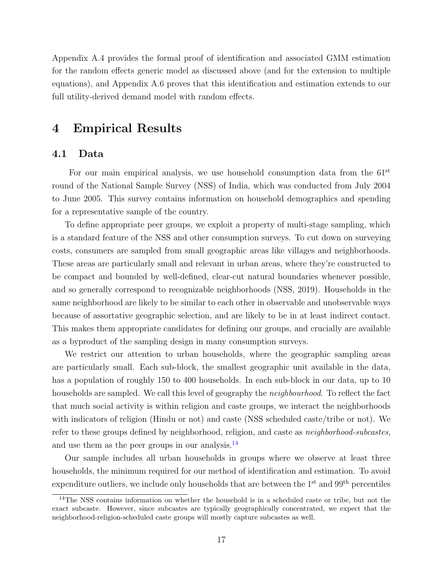Appendix A.4 provides the formal proof of identification and associated GMM estimation for the random effects generic model as discussed above (and for the extension to multiple equations), and Appendix A.6 proves that this identification and estimation extends to our full utility-derived demand model with random effects.

# <span id="page-17-0"></span>4 Empirical Results

#### 4.1 Data

For our main empirical analysis, we use household consumption data from the  $61<sup>st</sup>$ round of the National Sample Survey (NSS) of India, which was conducted from July 2004 to June 2005. This survey contains information on household demographics and spending for a representative sample of the country.

To define appropriate peer groups, we exploit a property of multi-stage sampling, which is a standard feature of the NSS and other consumption surveys. To cut down on surveying costs, consumers are sampled from small geographic areas like villages and neighborhoods. These areas are particularly small and relevant in urban areas, where they're constructed to be compact and bounded by well-defined, clear-cut natural boundaries whenever possible, and so generally correspond to recognizable neighborhoods (NSS, 2019). Households in the same neighborhood are likely to be similar to each other in observable and unobservable ways because of assortative geographic selection, and are likely to be in at least indirect contact. This makes them appropriate candidates for defining our groups, and crucially are available as a byproduct of the sampling design in many consumption surveys.

We restrict our attention to urban households, where the geographic sampling areas are particularly small. Each sub-block, the smallest geographic unit available in the data, has a population of roughly 150 to 400 households. In each sub-block in our data, up to 10 households are sampled. We call this level of geography the *neighbourhood*. To reflect the fact that much social activity is within religion and caste groups, we interact the neighborhoods with indicators of religion (Hindu or not) and caste (NSS scheduled caste/tribe or not). We refer to these groups defined by neighborhood, religion, and caste as neighborhood-subcastes, and use them as the peer groups in our analysis. $^{14}$  $^{14}$  $^{14}$ 

Our sample includes all urban households in groups where we observe at least three households, the minimum required for our method of identification and estimation. To avoid expenditure outliers, we include only households that are between the  $1<sup>st</sup>$  and  $99<sup>th</sup>$  percentiles

<span id="page-17-1"></span><sup>&</sup>lt;sup>14</sup>The NSS contains information on whether the household is in a scheduled caste or tribe, but not the exact subcaste. However, since subcastes are typically geographically concentrated, we expect that the neighborhood-religion-scheduled caste groups will mostly capture subcastes as well.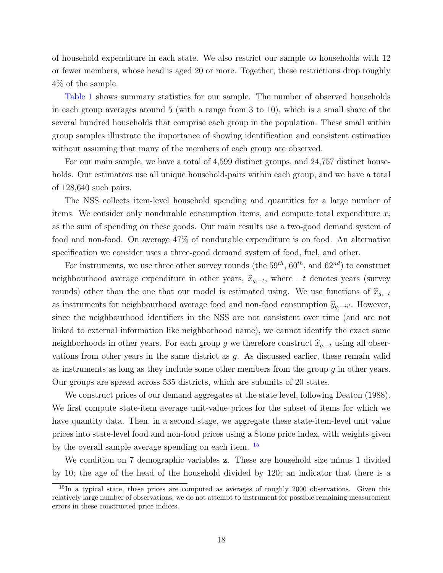of household expenditure in each state. We also restrict our sample to households with 12 or fewer members, whose head is aged 20 or more. Together, these restrictions drop roughly 4% of the sample.

[Table 1](#page-41-0) shows summary statistics for our sample. The number of observed households in each group averages around 5 (with a range from 3 to 10), which is a small share of the several hundred households that comprise each group in the population. These small within group samples illustrate the importance of showing identification and consistent estimation without assuming that many of the members of each group are observed.

For our main sample, we have a total of 4,599 distinct groups, and 24,757 distinct households. Our estimators use all unique household-pairs within each group, and we have a total of 128,640 such pairs.

The NSS collects item-level household spending and quantities for a large number of items. We consider only nondurable consumption items, and compute total expenditure  $x_i$ as the sum of spending on these goods. Our main results use a two-good demand system of food and non-food. On average 47% of nondurable expenditure is on food. An alternative specification we consider uses a three-good demand system of food, fuel, and other.

For instruments, we use three other survey rounds (the  $59^{th}$ ,  $60^{th}$ , and  $62^{nd}$ ) to construct neighbourhood average expenditure in other years,  $\hat{x}_{g,-t}$ , where  $-t$  denotes years (survey rounds) other than the one that our model is estimated using. We use functions of  $\hat{x}_{g,-t}$ as instruments for neighbourhood average food and non-food consumption  $\hat{y}_{g,-ii'}$ . However, since the neighbourhood identifiers in the NSS are not consistent over time (and are not linked to external information like neighborhood name), we cannot identify the exact same neighborhoods in other years. For each group g we therefore construct  $\hat{x}_{g,-t}$  using all observations from other years in the same district as g. As discussed earlier, these remain valid as instruments as long as they include some other members from the group  $g$  in other years. Our groups are spread across 535 districts, which are subunits of 20 states.

We construct prices of our demand aggregates at the state level, following Deaton (1988). We first compute state-item average unit-value prices for the subset of items for which we have quantity data. Then, in a second stage, we aggregate these state-item-level unit value prices into state-level food and non-food prices using a Stone price index, with weights given by the overall sample average spending on each item. [15](#page-18-0)

We condition on 7 demographic variables z. These are household size minus 1 divided by 10; the age of the head of the household divided by 120; an indicator that there is a

<span id="page-18-0"></span><sup>&</sup>lt;sup>15</sup>In a typical state, these prices are computed as averages of roughly 2000 observations. Given this relatively large number of observations, we do not attempt to instrument for possible remaining measurement errors in these constructed price indices.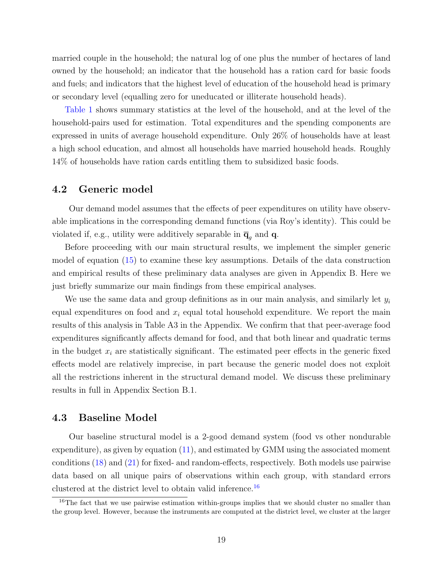married couple in the household; the natural log of one plus the number of hectares of land owned by the household; an indicator that the household has a ration card for basic foods and fuels; and indicators that the highest level of education of the household head is primary or secondary level (equalling zero for uneducated or illiterate household heads).

[Table 1](#page-41-0) shows summary statistics at the level of the household, and at the level of the household-pairs used for estimation. Total expenditures and the spending components are expressed in units of average household expenditure. Only 26% of households have at least a high school education, and almost all households have married household heads. Roughly 14% of households have ration cards entitling them to subsidized basic foods.

### 4.2 Generic model

Our demand model assumes that the effects of peer expenditures on utility have observable implications in the corresponding demand functions (via Roy's identity). This could be violated if, e.g., utility were additively separable in  $\overline{\mathbf{q}}_q$  and **q**.

Before proceeding with our main structural results, we implement the simpler generic model of equation [\(15\)](#page-13-0) to examine these key assumptions. Details of the data construction and empirical results of these preliminary data analyses are given in Appendix B. Here we just briefly summarize our main findings from these empirical analyses.

We use the same data and group definitions as in our main analysis, and similarly let  $y_i$ equal expenditures on food and  $x_i$  equal total household expenditure. We report the main results of this analysis in Table A3 in the Appendix. We confirm that that peer-average food expenditures significantly affects demand for food, and that both linear and quadratic terms in the budget  $x_i$  are statistically significant. The estimated peer effects in the generic fixed effects model are relatively imprecise, in part because the generic model does not exploit all the restrictions inherent in the structural demand model. We discuss these preliminary results in full in Appendix Section B.1.

### 4.3 Baseline Model

Our baseline structural model is a 2-good demand system (food vs other nondurable expenditure), as given by equation [\(11\)](#page-10-1), and estimated by GMM using the associated moment conditions [\(18\)](#page-14-1) and [\(21\)](#page-16-0) for fixed- and random-effects, respectively. Both models use pairwise data based on all unique pairs of observations within each group, with standard errors clustered at the district level to obtain valid inference.[16](#page-19-0)

<span id="page-19-0"></span><sup>&</sup>lt;sup>16</sup>The fact that we use pairwise estimation within-groups implies that we should cluster no smaller than the group level. However, because the instruments are computed at the district level, we cluster at the larger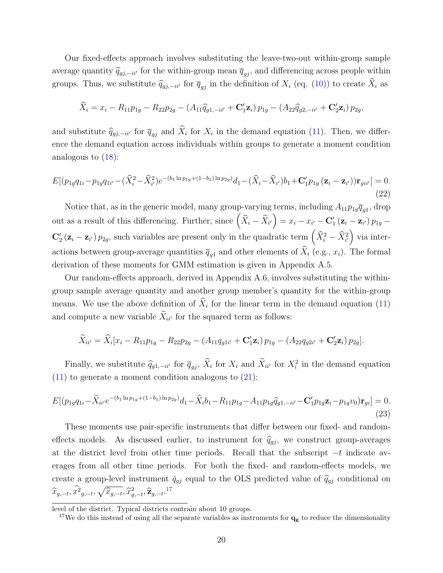Our fixed-effects approach involves substituting the leave-two-out within-group sample average quantity  $\hat{q}_{gj,-ii'}$  for the within-group mean  $\overline{q}_{gj}$ , and differencing across people within groups. Thus, we substitute  $\hat{q}_{gj,-ii'}$  for  $\overline{q}_{gj}$  in the definition of  $X_i$  (eq. [\(10\)](#page-10-2)) to create  $\hat{X}_i$  as

$$
\widehat{X}_i = x_i - R_{11}p_{1g} - R_{22}p_{2g} - (A_{11}\widehat{q}_{g1,-ii'} + \mathbf{C}'_1\mathbf{z}_i) p_{1g} - (A_{22}\widehat{q}_{g2,-ii'} + \mathbf{C}'_2\mathbf{z}_i) p_{2g},
$$

and substitute  $\hat{q}_{gj,-ii'}$  for  $\overline{q}_{gj}$  and  $X_i$  for  $X_i$  in the demand equation [\(11\)](#page-10-1). Then, we difference the demand equation across individuals within groups to generate a moment condition analogous to [\(18\)](#page-14-1):

$$
E[(p_{1g}q_{1i} - p_{1g}q_{1i'} - (\hat{X}_i^2 - \hat{X}_{i'}^2)e^{-(b_1\ln p_{1g} + (1-b_1)\ln p_{2g})}d_1 - (\hat{X}_i - \hat{X}_{i'})b_1 + \mathbf{C}_1'p_{1g}(\mathbf{z}_i - \mathbf{z}_{i'})\mathbf{r}_{gii'}] = 0.
$$
\n(22)

Notice that, as in the generic model, many group-varying terms, including  $A_{11}p_{1g}\overline{q}_{g1}$ , drop out as a result of this differencing. Further, since  $(\widehat{X}_i - \widehat{X}_{i'}) = x_i - x_{i'} - \mathbf{C}'_1 (\mathbf{z}_i - \mathbf{z}_{i'}) p_{1g} \mathbf{C}'_2(\mathbf{z}_i - \mathbf{z}_{i'}) p_{2g}$ , such variables are present only in the quadratic term  $(\hat{X}_i^2 - \hat{X}_{i'}^2)$  via interactions between group-average quantities  $\overline{q}_{g1}$  and other elements of  $\widehat{X}_i$  (e.g.,  $x_i$ ). The formal derivation of these moments for GMM estimation is given in Appendix A.5.

Our random-effects approach, derived in Appendix A.6, involves substituting the withingroup sample average quantity and another group member's quantity for the within-group means. We use the above definition of  $X_i$  for the linear term in the demand equation [\(11\)](#page-10-1) and compute a new variable  $\tilde{X}_{ii'}$  for the squared term as follows:

$$
\widetilde{X}_{ii'} = \widehat{X}_i[x_i - R_{11}p_{1g} - R_{22}p_{2g} - (A_{11}q_{g1i'} + \mathbf{C}'_1\mathbf{z}_i) p_{1g} - (A_{22}q_{g2i'} + \mathbf{C}'_2\mathbf{z}_i) p_{2g}].
$$

Finally, we substitute  $\hat{q}_{g1,-ii'}$  for  $\overline{q}_{gj}$ ,  $\hat{X}_i$  for  $X_i$  and  $\hat{X}_{ii'}$  for  $X_i^2$  in the demand equation  $(11)$  to generate a moment condition analogous to  $(21)$ :

$$
E[(p_{1g}q_{1i} - \tilde{X}_{ii'}e^{-(b_1\ln p_{1g} + (1-b_1)\ln p_{2g})}d_1 - \hat{X}_ib_1 - R_{11}p_{1g} - A_{11}p_{1g}\hat{q}_{g1, -ii'} - \mathbf{C}'_1p_{1g}\mathbf{z}_i - p_{1g}v_0)\mathbf{r}_{gi}] = 0.
$$
\n(23)

These moments use pair-specific instruments that differ between our fixed- and randomeffects models. As discussed earlier, to instrument for  $\hat{q}_{gj}$ , we construct group-averages at the district level from other time periods. Recall that the subscript  $-t$  indicate averages from all other time periods. For both the fixed- and random-effects models, we create a group-level instrument  $\check{q}_{gj}$  equal to the OLS predicted value of  $\hat{q}_{gj}$  conditional on  $\widehat{x}_{g,-t}, \widehat{x}_{g,-t}, \sqrt{\widehat{x}_{g,-t}}, \widehat{x}_{g,-t}^2, \widehat{\mathbf{z}}_{g,-t}.^{17}$  $\widehat{x}_{g,-t}, \widehat{x}_{g,-t}, \sqrt{\widehat{x}_{g,-t}}, \widehat{x}_{g,-t}^2, \widehat{\mathbf{z}}_{g,-t}.^{17}$  $\widehat{x}_{g,-t}, \widehat{x}_{g,-t}, \sqrt{\widehat{x}_{g,-t}}, \widehat{x}_{g,-t}^2, \widehat{\mathbf{z}}_{g,-t}.^{17}$ 

level of the district. Typical districts contrain about 10 groups.

<span id="page-20-0"></span><sup>&</sup>lt;sup>17</sup>We do this instead of using all the separate variables as instruments for  $q_g$  to reduce the dimensionality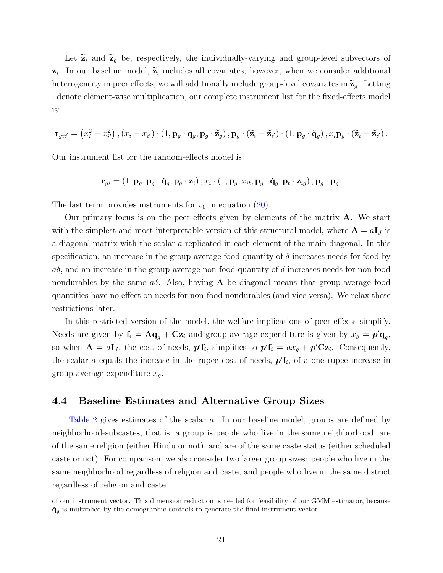Let  $\widetilde{\mathbf{z}}_i$  and  $\widetilde{\mathbf{z}}_g$  be, respectively, the individually-varying and group-level subvectors of  $z_i$ . In our baseline model,  $\tilde{z}_i$  includes all covariates; however, when we consider additional heterogeneity in peer effects, we will additionally include group-level covariates in  $\tilde{\mathbf{z}}_q$ . Letting · denote element-wise multiplication, our complete instrument list for the fixed-effects model is:

$$
\mathbf{r}_{gii'} = \left(x_i^2 - x_{i'}^2\right), \left(x_i - x_{i'}\right) \cdot \left(1, \mathbf{p}_g \cdot \mathbf{\check{q}}_g, \mathbf{p}_g \cdot \mathbf{\widetilde{z}}_g\right), \mathbf{p}_g \cdot \left(\mathbf{\widetilde{z}}_i - \mathbf{\widetilde{z}}_{i'}\right) \cdot \left(1, \mathbf{p}_g \cdot \mathbf{\check{q}}_g\right), x_i \mathbf{p}_g \cdot \left(\mathbf{\widetilde{z}}_i - \mathbf{\widetilde{z}}_{i'}\right).
$$

Our instrument list for the random-effects model is:

$$
\mathbf{r}_{gi}=\left(1,\mathbf{p}_{g},\mathbf{p}_{g}\cdot\mathbf{\check{q}}_{g},\mathbf{p}_{g}\cdot\mathbf{z}_{i}\right),\mathbf{\mathit{x}}_{i}\cdot\left(1,\mathbf{p}_{g},\mathbf{\mathit{x}}_{it},\mathbf{p}_{g}\cdot\mathbf{\check{q}}_{g},\mathbf{p}_{t}\cdot\mathbf{z}_{ig}\right),\mathbf{p}_{g}\cdot\mathbf{p}_{g}.
$$

The last term provides instruments for  $v_0$  in equation [\(20\)](#page-16-1).

Our primary focus is on the peer effects given by elements of the matrix A. We start with the simplest and most interpretable version of this structural model, where  $\mathbf{A} = a\mathbf{I}_J$  is a diagonal matrix with the scalar a replicated in each element of the main diagonal. In this specification, an increase in the group-average food quantity of  $\delta$  increases needs for food by  $a\delta$ , and an increase in the group-average non-food quantity of  $\delta$  increases needs for non-food nondurables by the same  $a\delta$ . Also, having **A** be diagonal means that group-average food quantities have no effect on needs for non-food nondurables (and vice versa). We relax these restrictions later.

In this restricted version of the model, the welfare implications of peer effects simplify. Needs are given by  $\mathbf{f}_i = \mathbf{A} \overline{\mathbf{q}}_g + \mathbf{C} \mathbf{z}_i$  and group-average expenditure is given by  $\overline{x}_g = p' \overline{\mathbf{q}}_g$ , so when  $\mathbf{A} = a\mathbf{I}_J$ , the cost of needs,  $\mathbf{p}'\mathbf{f}_i$ , simplifies to  $\mathbf{p}'\mathbf{f}_i = a\overline{x}_g + \mathbf{p}'\mathbf{Cz}_i$ . Consequently, the scalar a equals the increase in the rupee cost of needs,  $p'f_i$ , of a one rupee increase in group-average expenditure  $\overline{x}_q$ .

#### 4.4 Baseline Estimates and Alternative Group Sizes

[Table 2](#page-42-0) gives estimates of the scalar a. In our baseline model, groups are defined by neighborhood-subcastes, that is, a group is people who live in the same neighborhood, are of the same religion (either Hindu or not), and are of the same caste status (either scheduled caste or not). For comparison, we also consider two larger group sizes: people who live in the same neighborhood regardless of religion and caste, and people who live in the same district regardless of religion and caste.

of our instrument vector. This dimension reduction is needed for feasibility of our GMM estimator, because  $\check{\mathbf{q}}_g$  is multiplied by the demographic controls to generate the final instrument vector.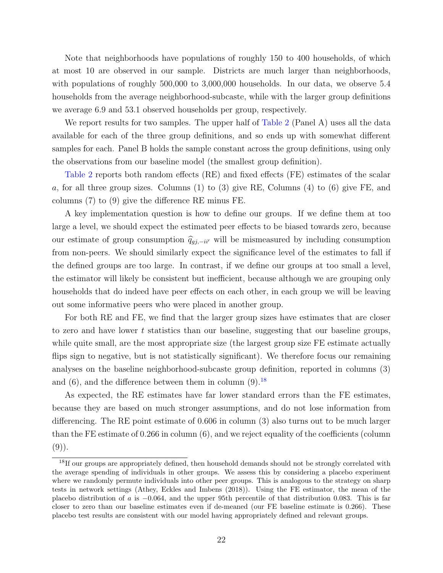Note that neighborhoods have populations of roughly 150 to 400 households, of which at most 10 are observed in our sample. Districts are much larger than neighborhoods, with populations of roughly 500,000 to 3,000,000 households. In our data, we observe 5.4 households from the average neighborhood-subcaste, while with the larger group definitions we average 6.9 and 53.1 observed households per group, respectively.

We report results for two samples. The upper half of [Table 2](#page-42-0) (Panel A) uses all the data available for each of the three group definitions, and so ends up with somewhat different samples for each. Panel B holds the sample constant across the group definitions, using only the observations from our baseline model (the smallest group definition).

[Table 2](#page-42-0) reports both random effects (RE) and fixed effects (FE) estimates of the scalar a, for all three group sizes. Columns  $(1)$  to  $(3)$  give RE, Columns  $(4)$  to  $(6)$  give FE, and columns (7) to (9) give the difference RE minus FE.

A key implementation question is how to define our groups. If we define them at too large a level, we should expect the estimated peer effects to be biased towards zero, because our estimate of group consumption  $\hat{q}_{qi,-ii'}$  will be mismeasured by including consumption from non-peers. We should similarly expect the significance level of the estimates to fall if the defined groups are too large. In contrast, if we define our groups at too small a level, the estimator will likely be consistent but inefficient, because although we are grouping only households that do indeed have peer effects on each other, in each group we will be leaving out some informative peers who were placed in another group.

For both RE and FE, we find that the larger group sizes have estimates that are closer to zero and have lower  $t$  statistics than our baseline, suggesting that our baseline groups, while quite small, are the most appropriate size (the largest group size FE estimate actually flips sign to negative, but is not statistically significant). We therefore focus our remaining analyses on the baseline neighborhood-subcaste group definition, reported in columns (3) and  $(6)$ , and the difference between them in column  $(9)$ .<sup>[18](#page-22-0)</sup>

As expected, the RE estimates have far lower standard errors than the FE estimates, because they are based on much stronger assumptions, and do not lose information from differencing. The RE point estimate of 0.606 in column (3) also turns out to be much larger than the FE estimate of 0.266 in column (6), and we reject equality of the coefficients (column  $(9)$ .

<span id="page-22-0"></span><sup>&</sup>lt;sup>18</sup>If our groups are appropriately defined, then household demands should not be strongly correlated with the average spending of individuals in other groups. We assess this by considering a placebo experiment where we randomly permute individuals into other peer groups. This is analogous to the strategy on sharp tests in network settings (Athey, Eckles and Imbens (2018)). Using the FE estimator, the mean of the placebo distribution of a is  $-0.064$ , and the upper 95th percentile of that distribution 0.083. This is far closer to zero than our baseline estimates even if de-meaned (our FE baseline estimate is 0.266). These placebo test results are consistent with our model having appropriately defined and relevant groups.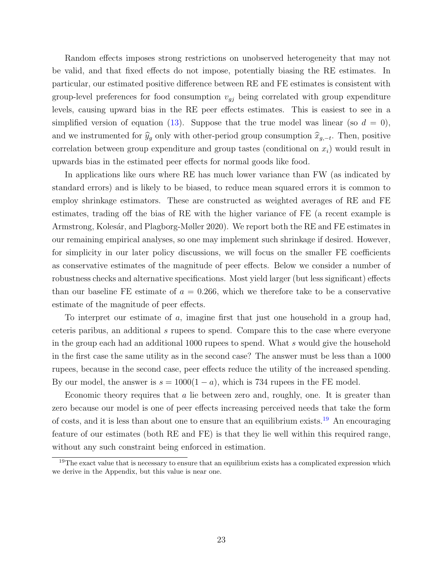Random effects imposes strong restrictions on unobserved heterogeneity that may not be valid, and that fixed effects do not impose, potentially biasing the RE estimates. In particular, our estimated positive difference between RE and FE estimates is consistent with group-level preferences for food consumption  $v_{gj}$  being correlated with group expenditure levels, causing upward bias in the RE peer effects estimates. This is easiest to see in a simplified version of equation [\(13\)](#page-11-1). Suppose that the true model was linear (so  $d = 0$ ), and we instrumented for  $\hat{y}_g$  only with other-period group consumption  $\hat{x}_{g,-t}$ . Then, positive correlation between group expenditure and group tastes (conditional on  $x_i$ ) would result in upwards bias in the estimated peer effects for normal goods like food.

In applications like ours where RE has much lower variance than FW (as indicated by standard errors) and is likely to be biased, to reduce mean squared errors it is common to employ shrinkage estimators. These are constructed as weighted averages of RE and FE estimates, trading off the bias of RE with the higher variance of FE (a recent example is Armstrong, Kolesár, and Plagborg-Møller 2020). We report both the RE and FE estimates in our remaining empirical analyses, so one may implement such shrinkage if desired. However, for simplicity in our later policy discussions, we will focus on the smaller FE coefficients as conservative estimates of the magnitude of peer effects. Below we consider a number of robustness checks and alternative specifications. Most yield larger (but less significant) effects than our baseline FE estimate of  $a = 0.266$ , which we therefore take to be a conservative estimate of the magnitude of peer effects.

To interpret our estimate of a, imagine first that just one household in a group had, ceteris paribus, an additional s rupees to spend. Compare this to the case where everyone in the group each had an additional 1000 rupees to spend. What s would give the household in the first case the same utility as in the second case? The answer must be less than a 1000 rupees, because in the second case, peer effects reduce the utility of the increased spending. By our model, the answer is  $s = 1000(1 - a)$ , which is 734 rupees in the FE model.

Economic theory requires that  $a$  lie between zero and, roughly, one. It is greater than zero because our model is one of peer effects increasing perceived needs that take the form of costs, and it is less than about one to ensure that an equilibrium exists.[19](#page-23-0) An encouraging feature of our estimates (both RE and FE) is that they lie well within this required range, without any such constraint being enforced in estimation.

<span id="page-23-0"></span><sup>&</sup>lt;sup>19</sup>The exact value that is necessary to ensure that an equilibrium exists has a complicated expression which we derive in the Appendix, but this value is near one.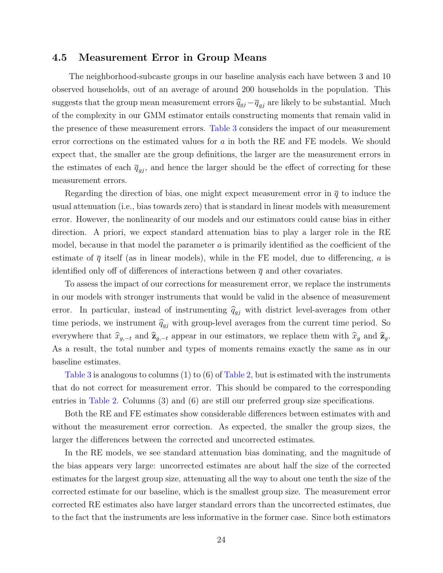#### 4.5 Measurement Error in Group Means

The neighborhood-subcaste groups in our baseline analysis each have between 3 and 10 observed households, out of an average of around 200 households in the population. This suggests that the group mean measurement errors  $\hat{q}_{gj} - \overline{q}_{gj}$  are likely to be substantial. Much of the complexity in our GMM estimator entails constructing moments that remain valid in the presence of these measurement errors. [Table 3](#page-43-0) considers the impact of our measurement error corrections on the estimated values for a in both the RE and FE models. We should expect that, the smaller are the group definitions, the larger are the measurement errors in the estimates of each  $\overline{q}_{gj}$ , and hence the larger should be the effect of correcting for these measurement errors.

Regarding the direction of bias, one might expect measurement error in  $\bar{q}$  to induce the usual attenuation (i.e., bias towards zero) that is standard in linear models with measurement error. However, the nonlinearity of our models and our estimators could cause bias in either direction. A priori, we expect standard attenuation bias to play a larger role in the RE model, because in that model the parameter  $a$  is primarily identified as the coefficient of the estimate of  $\bar{q}$  itself (as in linear models), while in the FE model, due to differencing, a is identified only off of differences of interactions between  $\bar{q}$  and other covariates.

To assess the impact of our corrections for measurement error, we replace the instruments in our models with stronger instruments that would be valid in the absence of measurement error. In particular, instead of instrumenting  $\hat{q}_{gj}$  with district level-averages from other time periods, we instrument  $\hat{q}_{gj}$  with group-level averages from the current time period. So everywhere that  $\widehat{x}_{g,-t}$  and  $\widehat{\mathbf{z}}_{g,-t}$  appear in our estimators, we replace them with  $\widehat{x}_g$  and  $\widehat{\mathbf{z}}_g$ . As a result, the total number and types of moments remains exactly the same as in our baseline estimates.

[Table 3](#page-43-0) is analogous to columns (1) to (6) of [Table 2,](#page-42-0) but is estimated with the instruments that do not correct for measurement error. This should be compared to the corresponding entries in [Table 2.](#page-42-0) Columns (3) and (6) are still our preferred group size specifications.

Both the RE and FE estimates show considerable differences between estimates with and without the measurement error correction. As expected, the smaller the group sizes, the larger the differences between the corrected and uncorrected estimates.

In the RE models, we see standard attenuation bias dominating, and the magnitude of the bias appears very large: uncorrected estimates are about half the size of the corrected estimates for the largest group size, attenuating all the way to about one tenth the size of the corrected estimate for our baseline, which is the smallest group size. The measurement error corrected RE estimates also have larger standard errors than the uncorrected estimates, due to the fact that the instruments are less informative in the former case. Since both estimators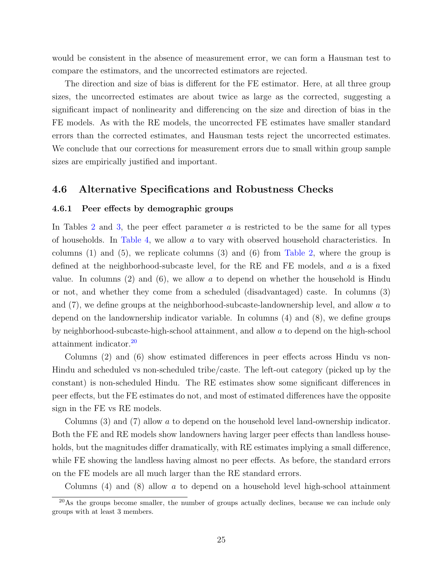would be consistent in the absence of measurement error, we can form a Hausman test to compare the estimators, and the uncorrected estimators are rejected.

The direction and size of bias is different for the FE estimator. Here, at all three group sizes, the uncorrected estimates are about twice as large as the corrected, suggesting a significant impact of nonlinearity and differencing on the size and direction of bias in the FE models. As with the RE models, the uncorrected FE estimates have smaller standard errors than the corrected estimates, and Hausman tests reject the uncorrected estimates. We conclude that our corrections for measurement errors due to small within group sample sizes are empirically justified and important.

#### 4.6 Alternative Specifications and Robustness Checks

#### 4.6.1 Peer effects by demographic groups

In Tables [2](#page-42-0) and [3,](#page-43-0) the peer effect parameter a is restricted to be the same for all types of households. In [Table 4,](#page-44-0) we allow a to vary with observed household characteristics. In columns  $(1)$  and  $(5)$ , we replicate columns  $(3)$  and  $(6)$  from [Table 2,](#page-42-0) where the group is defined at the neighborhood-subcaste level, for the RE and FE models, and  $\alpha$  is a fixed value. In columns  $(2)$  and  $(6)$ , we allow a to depend on whether the household is Hindu or not, and whether they come from a scheduled (disadvantaged) caste. In columns (3) and (7), we define groups at the neighborhood-subcaste-landownership level, and allow a to depend on the landownership indicator variable. In columns (4) and (8), we define groups by neighborhood-subcaste-high-school attainment, and allow a to depend on the high-school attainment indicator.[20](#page-25-0)

Columns (2) and (6) show estimated differences in peer effects across Hindu vs non-Hindu and scheduled vs non-scheduled tribe/caste. The left-out category (picked up by the constant) is non-scheduled Hindu. The RE estimates show some significant differences in peer effects, but the FE estimates do not, and most of estimated differences have the opposite sign in the FE vs RE models.

Columns (3) and (7) allow a to depend on the household level land-ownership indicator. Both the FE and RE models show landowners having larger peer effects than landless households, but the magnitudes differ dramatically, with RE estimates implying a small difference, while FE showing the landless having almost no peer effects. As before, the standard errors on the FE models are all much larger than the RE standard errors.

<span id="page-25-0"></span>Columns  $(4)$  and  $(8)$  allow a to depend on a household level high-school attainment

<sup>&</sup>lt;sup>20</sup>As the groups become smaller, the number of groups actually declines, because we can include only groups with at least 3 members.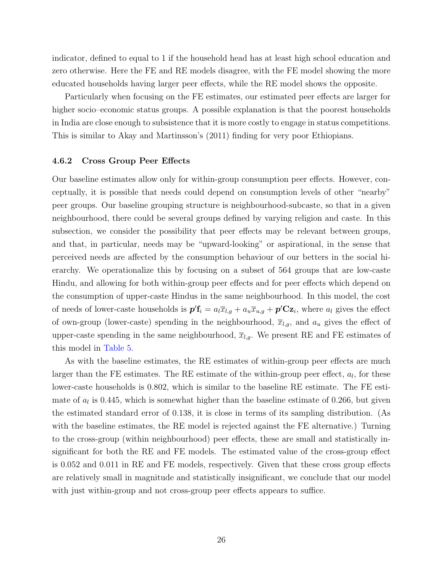indicator, defined to equal to 1 if the household head has at least high school education and zero otherwise. Here the FE and RE models disagree, with the FE model showing the more educated households having larger peer effects, while the RE model shows the opposite.

Particularly when focusing on the FE estimates, our estimated peer effects are larger for higher socio–economic status groups. A possible explanation is that the poorest households in India are close enough to subsistence that it is more costly to engage in status competitions. This is similar to Akay and Martinsson's (2011) finding for very poor Ethiopians.

#### 4.6.2 Cross Group Peer Effects

Our baseline estimates allow only for within-group consumption peer effects. However, conceptually, it is possible that needs could depend on consumption levels of other "nearby" peer groups. Our baseline grouping structure is neighbourhood-subcaste, so that in a given neighbourhood, there could be several groups defined by varying religion and caste. In this subsection, we consider the possibility that peer effects may be relevant between groups, and that, in particular, needs may be "upward-looking" or aspirational, in the sense that perceived needs are affected by the consumption behaviour of our betters in the social hierarchy. We operationalize this by focusing on a subset of 564 groups that are low-caste Hindu, and allowing for both within-group peer effects and for peer effects which depend on the consumption of upper-caste Hindus in the same neighbourhood. In this model, the cost of needs of lower-caste households is  $p' f_i = a_l \overline{x}_{l,g} + a_u \overline{x}_{u,g} + p' C z_i$ , where  $a_l$  gives the effect of own-group (lower-caste) spending in the neighbourhood,  $\overline{x}_{l,g}$ , and  $a_u$  gives the effect of upper-caste spending in the same neighbourhood,  $\overline{x}_{l,g}$ . We present RE and FE estimates of this model in [Table 5.](#page-45-0)

As with the baseline estimates, the RE estimates of within-group peer effects are much larger than the FE estimates. The RE estimate of the within-group peer effect,  $a_l$ , for these lower-caste households is 0.802, which is similar to the baseline RE estimate. The FE estimate of  $a_l$  is 0.445, which is somewhat higher than the baseline estimate of 0.266, but given the estimated standard error of 0.138, it is close in terms of its sampling distribution. (As with the baseline estimates, the RE model is rejected against the FE alternative.) Turning to the cross-group (within neighbourhood) peer effects, these are small and statistically insignificant for both the RE and FE models. The estimated value of the cross-group effect is 0.052 and 0.011 in RE and FE models, respectively. Given that these cross group effects are relatively small in magnitude and statistically insignificant, we conclude that our model with just within-group and not cross-group peer effects appears to suffice.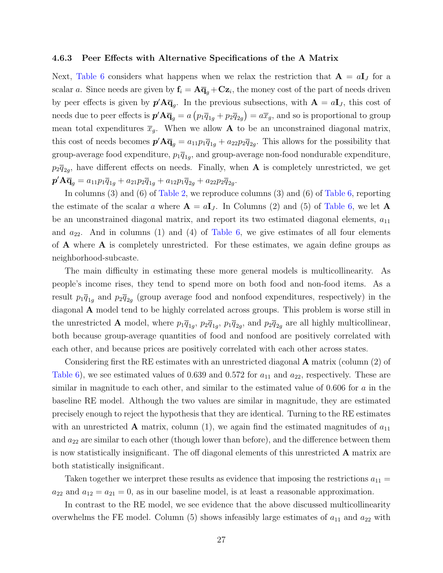#### 4.6.3 Peer Effects with Alternative Specifications of the A Matrix

Next, [Table 6](#page-46-0) considers what happens when we relax the restriction that  $\mathbf{A} = a\mathbf{I}_J$  for a scalar a. Since needs are given by  $f_i = A \overline{q}_g + C z_i$ , the money cost of the part of needs driven by peer effects is given by  $p' \mathbf{A} \overline{\mathbf{q}}_g$ . In the previous subsections, with  $\mathbf{A} = a \mathbf{I}_J$ , this cost of needs due to peer effects is  $p' A \overline{q}_g = a (p_1 \overline{q}_{1g} + p_2 \overline{q}_{2g}) = a \overline{x}_g$ , and so is proportional to group mean total expenditures  $\bar{x}_g$ . When we allow **A** to be an unconstrained diagonal matrix, this cost of needs becomes  $p' \mathbf{A} \overline{\mathbf{q}}_g = a_{11} p_1 \overline{q}_{1g} + a_{22} p_2 \overline{q}_{2g}$ . This allows for the possibility that group-average food expenditure,  $p_1\overline{q}_{1g}$ , and group-average non-food nondurable expenditure,  $p_2\overline{q}_{2g}$ , have different effects on needs. Finally, when **A** is completely unrestricted, we get  $\bm{p}'\mathbf{A}\overline{\mathbf{q}}_g = a_{11}p_1\overline{q}_{1g} + a_{21}p_2\overline{q}_{1g} + a_{12}p_1\overline{q}_{2g} + a_{22}p_2\overline{q}_{2g}.$ 

In columns (3) and (6) of [Table 2,](#page-42-0) we reproduce columns (3) and (6) of [Table 6,](#page-46-0) reporting the estimate of the scalar a where  $\mathbf{A} = a\mathbf{I}_J$ . In Columns (2) and (5) of [Table 6,](#page-46-0) we let  $\mathbf{A}$ be an unconstrained diagonal matrix, and report its two estimated diagonal elements,  $a_{11}$ and  $a_{22}$ . And in columns (1) and (4) of [Table 6,](#page-46-0) we give estimates of all four elements of  $\bf{A}$  where  $\bf{A}$  is completely unrestricted. For these estimates, we again define groups as neighborhood-subcaste.

The main difficulty in estimating these more general models is multicollinearity. As people's income rises, they tend to spend more on both food and non-food items. As a result  $p_1\overline{q}_{1g}$  and  $p_2\overline{q}_{2g}$  (group average food and nonfood expenditures, respectively) in the diagonal A model tend to be highly correlated across groups. This problem is worse still in the unrestricted **A** model, where  $p_1\overline{q}_{1g}$ ,  $p_2\overline{q}_{1g}$ ,  $p_1\overline{q}_{2g}$ , and  $p_2\overline{q}_{2g}$  are all highly multicollinear, both because group-average quantities of food and nonfood are positively correlated with each other, and because prices are positively correlated with each other across states.

Considering first the RE estimates with an unrestricted diagonal  $\bf{A}$  matrix (column (2) of [Table 6\)](#page-46-0), we see estimated values of 0.639 and 0.572 for  $a_{11}$  and  $a_{22}$ , respectively. These are similar in magnitude to each other, and similar to the estimated value of  $0.606$  for a in the baseline RE model. Although the two values are similar in magnitude, they are estimated precisely enough to reject the hypothesis that they are identical. Turning to the RE estimates with an unrestricted **A** matrix, column  $(1)$ , we again find the estimated magnitudes of  $a_{11}$ and  $a_{22}$  are similar to each other (though lower than before), and the difference between them is now statistically insignificant. The off diagonal elements of this unrestricted A matrix are both statistically insignificant.

Taken together we interpret these results as evidence that imposing the restrictions  $a_{11} =$  $a_{22}$  and  $a_{12} = a_{21} = 0$ , as in our baseline model, is at least a reasonable approximation.

In contrast to the RE model, we see evidence that the above discussed multicollinearity overwhelms the FE model. Column (5) shows infeasibly large estimates of  $a_{11}$  and  $a_{22}$  with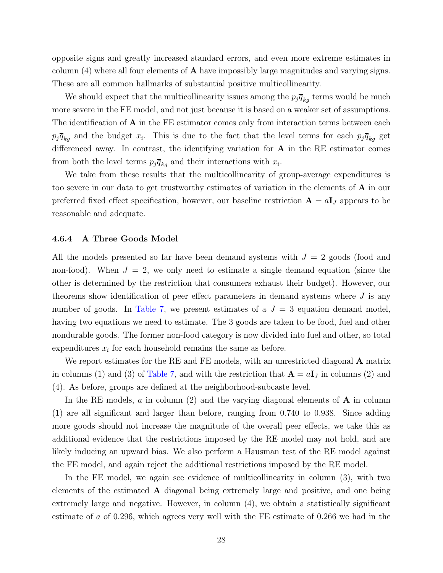opposite signs and greatly increased standard errors, and even more extreme estimates in column  $(4)$  where all four elements of **A** have impossibly large magnitudes and varying signs. These are all common hallmarks of substantial positive multicollinearity.

We should expect that the multicollinearity issues among the  $p_j \overline{q}_{kg}$  terms would be much more severe in the FE model, and not just because it is based on a weaker set of assumptions. The identification of **A** in the FE estimator comes only from interaction terms between each  $p_j\overline{q}_{kg}$  and the budget  $x_i$ . This is due to the fact that the level terms for each  $p_j\overline{q}_{kg}$  get differenced away. In contrast, the identifying variation for  $A$  in the RE estimator comes from both the level terms  $p_j \overline{q}_{kg}$  and their interactions with  $x_i$ .

We take from these results that the multicollinearity of group-average expenditures is too severe in our data to get trustworthy estimates of variation in the elements of A in our preferred fixed effect specification, however, our baseline restriction  $\mathbf{A} = a\mathbf{I}_J$  appears to be reasonable and adequate.

#### 4.6.4 A Three Goods Model

All the models presented so far have been demand systems with  $J = 2$  goods (food and non-food). When  $J = 2$ , we only need to estimate a single demand equation (since the other is determined by the restriction that consumers exhaust their budget). However, our theorems show identification of peer effect parameters in demand systems where  $J$  is any number of goods. In [Table 7,](#page-47-0) we present estimates of a  $J = 3$  equation demand model, having two equations we need to estimate. The 3 goods are taken to be food, fuel and other nondurable goods. The former non-food category is now divided into fuel and other, so total expenditures  $x_i$  for each household remains the same as before.

We report estimates for the RE and FE models, with an unrestricted diagonal **A** matrix in columns (1) and (3) of [Table 7,](#page-47-0) and with the restriction that  $\mathbf{A} = a\mathbf{I}_J$  in columns (2) and (4). As before, groups are defined at the neighborhood-subcaste level.

In the RE models, a in column (2) and the varying diagonal elements of  $\bf{A}$  in column (1) are all significant and larger than before, ranging from 0.740 to 0.938. Since adding more goods should not increase the magnitude of the overall peer effects, we take this as additional evidence that the restrictions imposed by the RE model may not hold, and are likely inducing an upward bias. We also perform a Hausman test of the RE model against the FE model, and again reject the additional restrictions imposed by the RE model.

In the FE model, we again see evidence of multicollinearity in column (3), with two elements of the estimated A diagonal being extremely large and positive, and one being extremely large and negative. However, in column (4), we obtain a statistically significant estimate of a of 0.296, which agrees very well with the FE estimate of 0.266 we had in the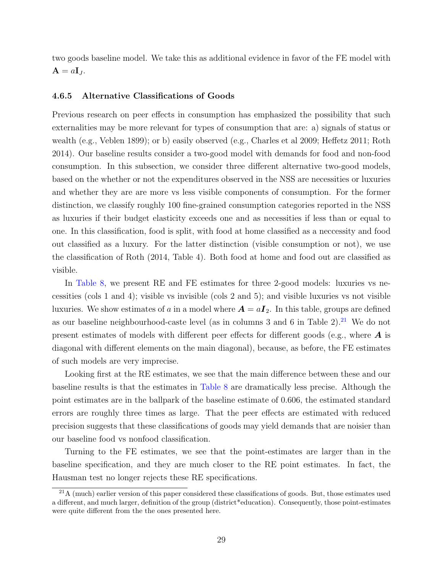two goods baseline model. We take this as additional evidence in favor of the FE model with  $\mathbf{A} = a\mathbf{I}_J.$ 

#### 4.6.5 Alternative Classifications of Goods

Previous research on peer effects in consumption has emphasized the possibility that such externalities may be more relevant for types of consumption that are: a) signals of status or wealth (e.g., Veblen 1899); or b) easily observed (e.g., Charles et al 2009; Heffetz 2011; Roth 2014). Our baseline results consider a two-good model with demands for food and non-food consumption. In this subsection, we consider three different alternative two-good models, based on the whether or not the expenditures observed in the NSS are necessities or luxuries and whether they are are more vs less visible components of consumption. For the former distinction, we classify roughly 100 fine-grained consumption categories reported in the NSS as luxuries if their budget elasticity exceeds one and as necessities if less than or equal to one. In this classification, food is split, with food at home classified as a neccessity and food out classified as a luxury. For the latter distinction (visible consumption or not), we use the classification of Roth (2014, Table 4). Both food at home and food out are classified as visible.

In [Table 8,](#page-48-0) we present RE and FE estimates for three 2-good models: luxuries vs necessities (cols 1 and 4); visible vs invisible (cols 2 and 5); and visible luxuries vs not visible luxuries. We show estimates of a in a model where  $A = aI_2$ . In this table, groups are defined as our baseline neighbourhood-caste level (as in columns 3 and 6 in Table  $2$ ).<sup>[21](#page-29-0)</sup> We do not present estimates of models with different peer effects for different goods (e.g., where  $\boldsymbol{A}$  is diagonal with different elements on the main diagonal), because, as before, the FE estimates of such models are very imprecise.

Looking first at the RE estimates, we see that the main difference between these and our baseline results is that the estimates in [Table 8](#page-48-0) are dramatically less precise. Although the point estimates are in the ballpark of the baseline estimate of 0.606, the estimated standard errors are roughly three times as large. That the peer effects are estimated with reduced precision suggests that these classifications of goods may yield demands that are noisier than our baseline food vs nonfood classification.

Turning to the FE estimates, we see that the point-estimates are larger than in the baseline specification, and they are much closer to the RE point estimates. In fact, the Hausman test no longer rejects these RE specifications.

<span id="page-29-0"></span> $^{21}$ A (much) earlier version of this paper considered these classifications of goods. But, those estimates used a different, and much larger, definition of the group (district\*education). Consequently, those point-estimates were quite different from the the ones presented here.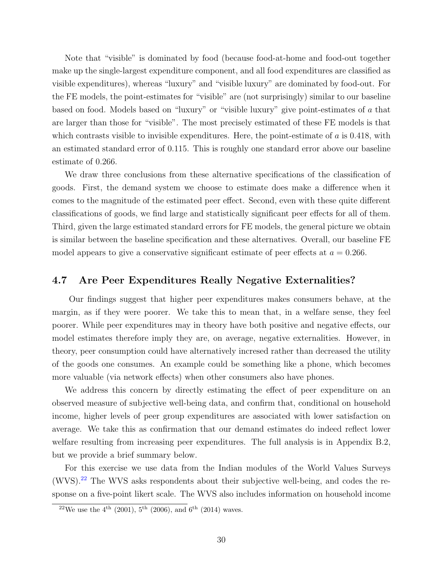Note that "visible" is dominated by food (because food-at-home and food-out together make up the single-largest expenditure component, and all food expenditures are classified as visible expenditures), whereas "luxury" and "visible luxury" are dominated by food-out. For the FE models, the point-estimates for "visible" are (not surprisingly) similar to our baseline based on food. Models based on "luxury" or "visible luxury" give point-estimates of a that are larger than those for "visible". The most precisely estimated of these FE models is that which contrasts visible to invisible expenditures. Here, the point-estimate of  $\alpha$  is 0.418, with an estimated standard error of 0.115. This is roughly one standard error above our baseline estimate of 0.266.

We draw three conclusions from these alternative specifications of the classification of goods. First, the demand system we choose to estimate does make a difference when it comes to the magnitude of the estimated peer effect. Second, even with these quite different classifications of goods, we find large and statistically significant peer effects for all of them. Third, given the large estimated standard errors for FE models, the general picture we obtain is similar between the baseline specification and these alternatives. Overall, our baseline FE model appears to give a conservative significant estimate of peer effects at  $a = 0.266$ .

### 4.7 Are Peer Expenditures Really Negative Externalities?

Our findings suggest that higher peer expenditures makes consumers behave, at the margin, as if they were poorer. We take this to mean that, in a welfare sense, they feel poorer. While peer expenditures may in theory have both positive and negative effects, our model estimates therefore imply they are, on average, negative externalities. However, in theory, peer consumption could have alternatively incresed rather than decreased the utility of the goods one consumes. An example could be something like a phone, which becomes more valuable (via network effects) when other consumers also have phones.

We address this concern by directly estimating the effect of peer expenditure on an observed measure of subjective well-being data, and confirm that, conditional on household income, higher levels of peer group expenditures are associated with lower satisfaction on average. We take this as confirmation that our demand estimates do indeed reflect lower welfare resulting from increasing peer expenditures. The full analysis is in Appendix B.2, but we provide a brief summary below.

For this exercise we use data from the Indian modules of the World Values Surveys (WVS).[22](#page-30-0) The WVS asks respondents about their subjective well-being, and codes the response on a five-point likert scale. The WVS also includes information on household income

<span id="page-30-0"></span><sup>&</sup>lt;sup>22</sup>We use the 4<sup>th</sup> (2001), 5<sup>th</sup> (2006), and 6<sup>th</sup> (2014) waves.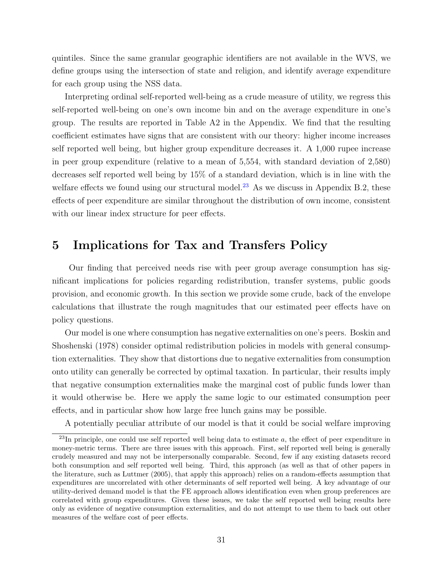quintiles. Since the same granular geographic identifiers are not available in the WVS, we define groups using the intersection of state and religion, and identify average expenditure for each group using the NSS data.

Interpreting ordinal self-reported well-being as a crude measure of utility, we regress this self-reported well-being on one's own income bin and on the average expenditure in one's group. The results are reported in Table A2 in the Appendix. We find that the resulting coefficient estimates have signs that are consistent with our theory: higher income increases self reported well being, but higher group expenditure decreases it. A 1,000 rupee increase in peer group expenditure (relative to a mean of 5,554, with standard deviation of 2,580) decreases self reported well being by 15% of a standard deviation, which is in line with the welfare effects we found using our structural model.<sup>[23](#page-31-1)</sup> As we discuss in Appendix B.2, these effects of peer expenditure are similar throughout the distribution of own income, consistent with our linear index structure for peer effects.

# <span id="page-31-0"></span>5 Implications for Tax and Transfers Policy

Our finding that perceived needs rise with peer group average consumption has significant implications for policies regarding redistribution, transfer systems, public goods provision, and economic growth. In this section we provide some crude, back of the envelope calculations that illustrate the rough magnitudes that our estimated peer effects have on policy questions.

Our model is one where consumption has negative externalities on one's peers. Boskin and Shoshenski (1978) consider optimal redistribution policies in models with general consumption externalities. They show that distortions due to negative externalities from consumption onto utility can generally be corrected by optimal taxation. In particular, their results imply that negative consumption externalities make the marginal cost of public funds lower than it would otherwise be. Here we apply the same logic to our estimated consumption peer effects, and in particular show how large free lunch gains may be possible.

A potentially peculiar attribute of our model is that it could be social welfare improving

<span id="page-31-1"></span> $^{23}$ In principle, one could use self reported well being data to estimate a, the effect of peer expenditure in money-metric terms. There are three issues with this approach. First, self reported well being is generally crudely measured and may not be interpersonally comparable. Second, few if any existing datasets record both consumption and self reported well being. Third, this approach (as well as that of other papers in the literature, such as Luttmer (2005), that apply this approach) relies on a random-effects assumption that expenditures are uncorrelated with other determinants of self reported well being. A key advantage of our utility-derived demand model is that the FE approach allows identification even when group preferences are correlated with group expenditures. Given these issues, we take the self reported well being results here only as evidence of negative consumption externalities, and do not attempt to use them to back out other measures of the welfare cost of peer effects.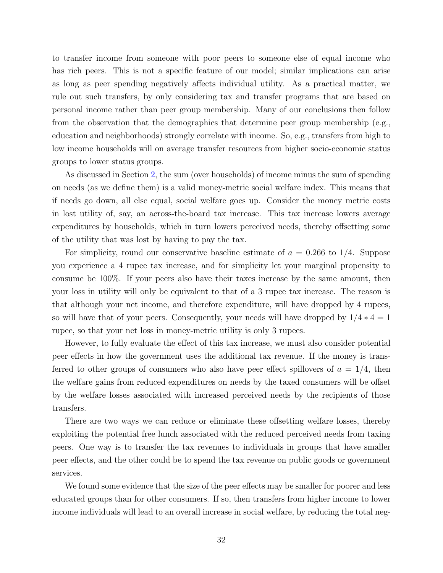to transfer income from someone with poor peers to someone else of equal income who has rich peers. This is not a specific feature of our model; similar implications can arise as long as peer spending negatively affects individual utility. As a practical matter, we rule out such transfers, by only considering tax and transfer programs that are based on personal income rather than peer group membership. Many of our conclusions then follow from the observation that the demographics that determine peer group membership (e.g., education and neighborhoods) strongly correlate with income. So, e.g., transfers from high to low income households will on average transfer resources from higher socio-economic status groups to lower status groups.

As discussed in Section [2,](#page-5-0) the sum (over households) of income minus the sum of spending on needs (as we define them) is a valid money-metric social welfare index. This means that if needs go down, all else equal, social welfare goes up. Consider the money metric costs in lost utility of, say, an across-the-board tax increase. This tax increase lowers average expenditures by households, which in turn lowers perceived needs, thereby offsetting some of the utility that was lost by having to pay the tax.

For simplicity, round our conservative baseline estimate of  $a = 0.266$  to  $1/4$ . Suppose you experience a 4 rupee tax increase, and for simplicity let your marginal propensity to consume be 100%. If your peers also have their taxes increase by the same amount, then your loss in utility will only be equivalent to that of a 3 rupee tax increase. The reason is that although your net income, and therefore expenditure, will have dropped by 4 rupees, so will have that of your peers. Consequently, your needs will have dropped by  $1/4 * 4 = 1$ rupee, so that your net loss in money-metric utility is only 3 rupees.

However, to fully evaluate the effect of this tax increase, we must also consider potential peer effects in how the government uses the additional tax revenue. If the money is transferred to other groups of consumers who also have peer effect spillovers of  $a = 1/4$ , then the welfare gains from reduced expenditures on needs by the taxed consumers will be offset by the welfare losses associated with increased perceived needs by the recipients of those transfers.

There are two ways we can reduce or eliminate these offsetting welfare losses, thereby exploiting the potential free lunch associated with the reduced perceived needs from taxing peers. One way is to transfer the tax revenues to individuals in groups that have smaller peer effects, and the other could be to spend the tax revenue on public goods or government services.

We found some evidence that the size of the peer effects may be smaller for poorer and less educated groups than for other consumers. If so, then transfers from higher income to lower income individuals will lead to an overall increase in social welfare, by reducing the total neg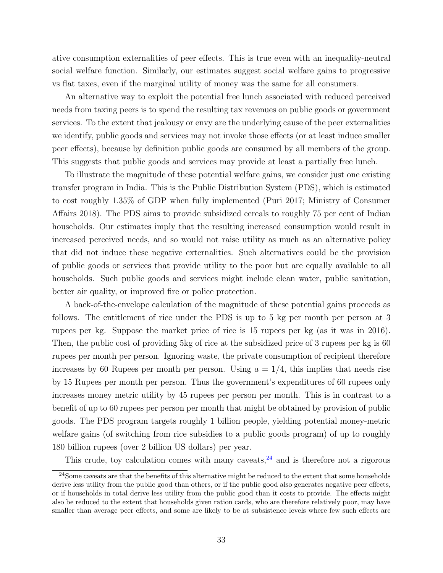ative consumption externalities of peer effects. This is true even with an inequality-neutral social welfare function. Similarly, our estimates suggest social welfare gains to progressive vs flat taxes, even if the marginal utility of money was the same for all consumers.

An alternative way to exploit the potential free lunch associated with reduced perceived needs from taxing peers is to spend the resulting tax revenues on public goods or government services. To the extent that jealousy or envy are the underlying cause of the peer externalities we identify, public goods and services may not invoke those effects (or at least induce smaller peer effects), because by definition public goods are consumed by all members of the group. This suggests that public goods and services may provide at least a partially free lunch.

To illustrate the magnitude of these potential welfare gains, we consider just one existing transfer program in India. This is the Public Distribution System (PDS), which is estimated to cost roughly 1.35% of GDP when fully implemented (Puri 2017; Ministry of Consumer Affairs 2018). The PDS aims to provide subsidized cereals to roughly 75 per cent of Indian households. Our estimates imply that the resulting increased consumption would result in increased perceived needs, and so would not raise utility as much as an alternative policy that did not induce these negative externalities. Such alternatives could be the provision of public goods or services that provide utility to the poor but are equally available to all households. Such public goods and services might include clean water, public sanitation, better air quality, or improved fire or police protection.

A back-of-the-envelope calculation of the magnitude of these potential gains proceeds as follows. The entitlement of rice under the PDS is up to 5 kg per month per person at 3 rupees per kg. Suppose the market price of rice is 15 rupees per kg (as it was in 2016). Then, the public cost of providing 5kg of rice at the subsidized price of 3 rupees per kg is 60 rupees per month per person. Ignoring waste, the private consumption of recipient therefore increases by 60 Rupees per month per person. Using  $a = 1/4$ , this implies that needs rise by 15 Rupees per month per person. Thus the government's expenditures of 60 rupees only increases money metric utility by 45 rupees per person per month. This is in contrast to a benefit of up to 60 rupees per person per month that might be obtained by provision of public goods. The PDS program targets roughly 1 billion people, yielding potential money-metric welfare gains (of switching from rice subsidies to a public goods program) of up to roughly 180 billion rupees (over 2 billion US dollars) per year.

This crude, toy calculation comes with many caveats,  $24$  and is therefore not a rigorous

<span id="page-33-0"></span><sup>&</sup>lt;sup>24</sup>Some caveats are that the benefits of this alternative might be reduced to the extent that some households derive less utility from the public good than others, or if the public good also generates negative peer effects, or if households in total derive less utility from the public good than it costs to provide. The effects might also be reduced to the extent that households given ration cards, who are therefore relatively poor, may have smaller than average peer effects, and some are likely to be at subsistence levels where few such effects are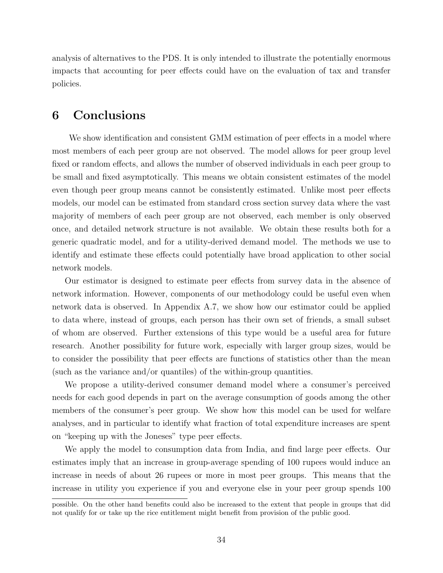analysis of alternatives to the PDS. It is only intended to illustrate the potentially enormous impacts that accounting for peer effects could have on the evaluation of tax and transfer policies.

# <span id="page-34-0"></span>6 Conclusions

We show identification and consistent GMM estimation of peer effects in a model where most members of each peer group are not observed. The model allows for peer group level fixed or random effects, and allows the number of observed individuals in each peer group to be small and fixed asymptotically. This means we obtain consistent estimates of the model even though peer group means cannot be consistently estimated. Unlike most peer effects models, our model can be estimated from standard cross section survey data where the vast majority of members of each peer group are not observed, each member is only observed once, and detailed network structure is not available. We obtain these results both for a generic quadratic model, and for a utility-derived demand model. The methods we use to identify and estimate these effects could potentially have broad application to other social network models.

Our estimator is designed to estimate peer effects from survey data in the absence of network information. However, components of our methodology could be useful even when network data is observed. In Appendix A.7, we show how our estimator could be applied to data where, instead of groups, each person has their own set of friends, a small subset of whom are observed. Further extensions of this type would be a useful area for future research. Another possibility for future work, especially with larger group sizes, would be to consider the possibility that peer effects are functions of statistics other than the mean (such as the variance and/or quantiles) of the within-group quantities.

We propose a utility-derived consumer demand model where a consumer's perceived needs for each good depends in part on the average consumption of goods among the other members of the consumer's peer group. We show how this model can be used for welfare analyses, and in particular to identify what fraction of total expenditure increases are spent on "keeping up with the Joneses" type peer effects.

We apply the model to consumption data from India, and find large peer effects. Our estimates imply that an increase in group-average spending of 100 rupees would induce an increase in needs of about 26 rupees or more in most peer groups. This means that the increase in utility you experience if you and everyone else in your peer group spends 100

possible. On the other hand benefits could also be increased to the extent that people in groups that did not qualify for or take up the rice entitlement might benefit from provision of the public good.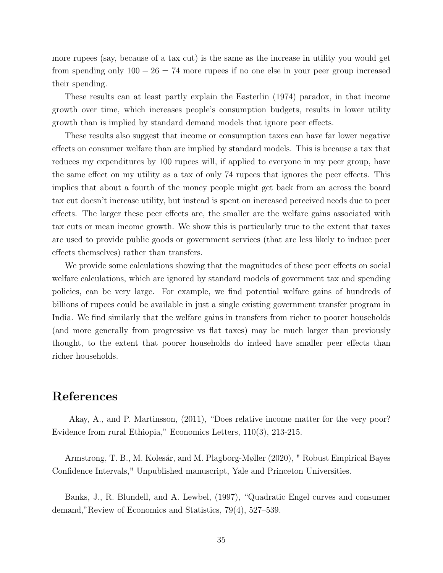more rupees (say, because of a tax cut) is the same as the increase in utility you would get from spending only  $100 - 26 = 74$  more rupees if no one else in your peer group increased their spending.

These results can at least partly explain the Easterlin (1974) paradox, in that income growth over time, which increases people's consumption budgets, results in lower utility growth than is implied by standard demand models that ignore peer effects.

These results also suggest that income or consumption taxes can have far lower negative effects on consumer welfare than are implied by standard models. This is because a tax that reduces my expenditures by 100 rupees will, if applied to everyone in my peer group, have the same effect on my utility as a tax of only 74 rupees that ignores the peer effects. This implies that about a fourth of the money people might get back from an across the board tax cut doesn't increase utility, but instead is spent on increased perceived needs due to peer effects. The larger these peer effects are, the smaller are the welfare gains associated with tax cuts or mean income growth. We show this is particularly true to the extent that taxes are used to provide public goods or government services (that are less likely to induce peer effects themselves) rather than transfers.

We provide some calculations showing that the magnitudes of these peer effects on social welfare calculations, which are ignored by standard models of government tax and spending policies, can be very large. For example, we find potential welfare gains of hundreds of billions of rupees could be available in just a single existing government transfer program in India. We find similarly that the welfare gains in transfers from richer to poorer households (and more generally from progressive vs flat taxes) may be much larger than previously thought, to the extent that poorer households do indeed have smaller peer effects than richer households.

# References

Akay, A., and P. Martinsson, (2011), "Does relative income matter for the very poor? Evidence from rural Ethiopia," Economics Letters, 110(3), 213-215.

Armstrong, T. B., M. Kolesár, and M. Plagborg-Møller (2020), " Robust Empirical Bayes Confidence Intervals," Unpublished manuscript, Yale and Princeton Universities.

Banks, J., R. Blundell, and A. Lewbel, (1997), "Quadratic Engel curves and consumer demand,"Review of Economics and Statistics, 79(4), 527–539.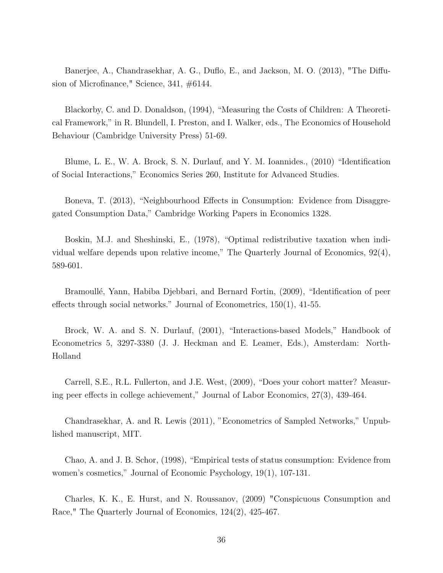Banerjee, A., Chandrasekhar, A. G., Duflo, E., and Jackson, M. O. (2013), "The Diffusion of Microfinance," Science, 341, #6144.

Blackorby, C. and D. Donaldson, (1994), "Measuring the Costs of Children: A Theoretical Framework," in R. Blundell, I. Preston, and I. Walker, eds., The Economics of Household Behaviour (Cambridge University Press) 51-69.

Blume, L. E., W. A. Brock, S. N. Durlauf, and Y. M. Ioannides., (2010) "Identification of Social Interactions," Economics Series 260, Institute for Advanced Studies.

Boneva, T. (2013), "Neighbourhood Effects in Consumption: Evidence from Disaggregated Consumption Data," Cambridge Working Papers in Economics 1328.

Boskin, M.J. and Sheshinski, E., (1978), "Optimal redistributive taxation when individual welfare depends upon relative income," The Quarterly Journal of Economics, 92(4), 589-601.

Bramoullé, Yann, Habiba Djebbari, and Bernard Fortin, (2009), "Identification of peer effects through social networks." Journal of Econometrics, 150(1), 41-55.

Brock, W. A. and S. N. Durlauf, (2001), "Interactions-based Models," Handbook of Econometrics 5, 3297-3380 (J. J. Heckman and E. Leamer, Eds.), Amsterdam: North-Holland

Carrell, S.E., R.L. Fullerton, and J.E. West, (2009), "Does your cohort matter? Measuring peer effects in college achievement," Journal of Labor Economics, 27(3), 439-464.

Chandrasekhar, A. and R. Lewis (2011), "Econometrics of Sampled Networks," Unpublished manuscript, MIT.

Chao, A. and J. B. Schor, (1998), "Empirical tests of status consumption: Evidence from women's cosmetics," Journal of Economic Psychology, 19(1), 107-131.

Charles, K. K., E. Hurst, and N. Roussanov, (2009) "Conspicuous Consumption and Race," The Quarterly Journal of Economics, 124(2), 425-467.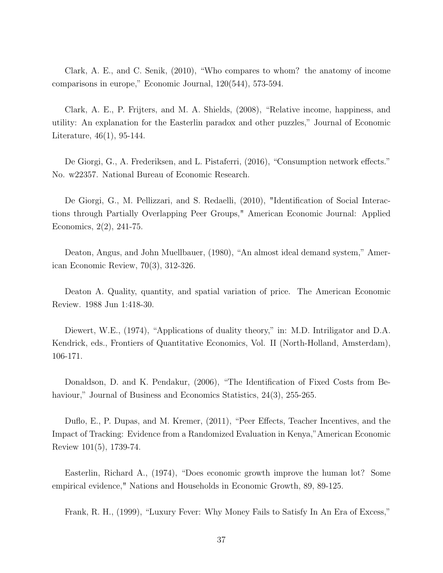Clark, A. E., and C. Senik, (2010), "Who compares to whom? the anatomy of income comparisons in europe," Economic Journal, 120(544), 573-594.

Clark, A. E., P. Frijters, and M. A. Shields, (2008), "Relative income, happiness, and utility: An explanation for the Easterlin paradox and other puzzles," Journal of Economic Literature, 46(1), 95-144.

De Giorgi, G., A. Frederiksen, and L. Pistaferri, (2016), "Consumption network effects." No. w22357. National Bureau of Economic Research.

De Giorgi, G., M. Pellizzari, and S. Redaelli, (2010), "Identification of Social Interactions through Partially Overlapping Peer Groups," American Economic Journal: Applied Economics, 2(2), 241-75.

Deaton, Angus, and John Muellbauer, (1980), "An almost ideal demand system," American Economic Review, 70(3), 312-326.

Deaton A. Quality, quantity, and spatial variation of price. The American Economic Review. 1988 Jun 1:418-30.

Diewert, W.E., (1974), "Applications of duality theory," in: M.D. Intriligator and D.A. Kendrick, eds., Frontiers of Quantitative Economics, Vol. II (North-Holland, Amsterdam), 106-171.

Donaldson, D. and K. Pendakur, (2006), "The Identification of Fixed Costs from Behaviour," Journal of Business and Economics Statistics, 24(3), 255-265.

Duflo, E., P. Dupas, and M. Kremer, (2011), "Peer Effects, Teacher Incentives, and the Impact of Tracking: Evidence from a Randomized Evaluation in Kenya,"American Economic Review 101(5), 1739-74.

Easterlin, Richard A., (1974), "Does economic growth improve the human lot? Some empirical evidence," Nations and Households in Economic Growth, 89, 89-125.

Frank, R. H., (1999), "Luxury Fever: Why Money Fails to Satisfy In An Era of Excess,"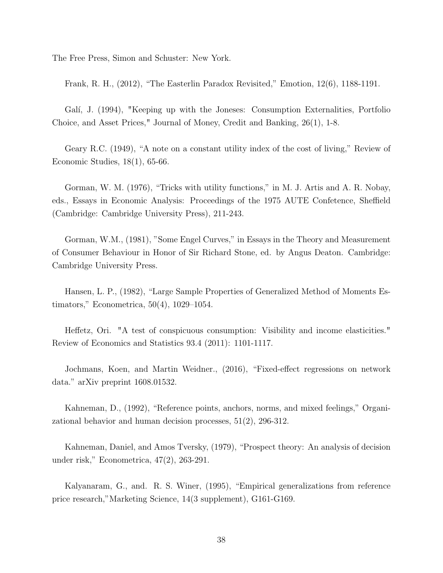The Free Press, Simon and Schuster: New York.

Frank, R. H., (2012), "The Easterlin Paradox Revisited," Emotion, 12(6), 1188-1191.

Galí, J. (1994), "Keeping up with the Joneses: Consumption Externalities, Portfolio Choice, and Asset Prices," Journal of Money, Credit and Banking, 26(1), 1-8.

Geary R.C. (1949), "A note on a constant utility index of the cost of living," Review of Economic Studies, 18(1), 65-66.

Gorman, W. M. (1976), "Tricks with utility functions," in M. J. Artis and A. R. Nobay, eds., Essays in Economic Analysis: Proceedings of the 1975 AUTE Confetence, Sheffield (Cambridge: Cambridge University Press), 211-243.

Gorman, W.M., (1981), "Some Engel Curves," in Essays in the Theory and Measurement of Consumer Behaviour in Honor of Sir Richard Stone, ed. by Angus Deaton. Cambridge: Cambridge University Press.

Hansen, L. P., (1982), "Large Sample Properties of Generalized Method of Moments Estimators," Econometrica, 50(4), 1029–1054.

Heffetz, Ori. "A test of conspicuous consumption: Visibility and income elasticities." Review of Economics and Statistics 93.4 (2011): 1101-1117.

Jochmans, Koen, and Martin Weidner., (2016), "Fixed-effect regressions on network data." arXiv preprint 1608.01532.

Kahneman, D., (1992), "Reference points, anchors, norms, and mixed feelings," Organizational behavior and human decision processes, 51(2), 296-312.

Kahneman, Daniel, and Amos Tversky, (1979), "Prospect theory: An analysis of decision under risk," Econometrica, 47(2), 263-291.

Kalyanaram, G., and. R. S. Winer, (1995), "Empirical generalizations from reference price research,"Marketing Science, 14(3 supplement), G161-G169.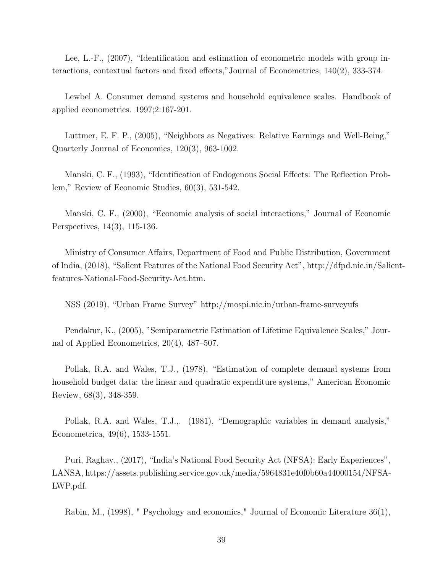Lee, L.-F., (2007), "Identification and estimation of econometric models with group interactions, contextual factors and fixed effects,"Journal of Econometrics, 140(2), 333-374.

Lewbel A. Consumer demand systems and household equivalence scales. Handbook of applied econometrics. 1997;2:167-201.

Luttmer, E. F. P., (2005), "Neighbors as Negatives: Relative Earnings and Well-Being," Quarterly Journal of Economics, 120(3), 963-1002.

Manski, C. F., (1993), "Identification of Endogenous Social Effects: The Reflection Problem," Review of Economic Studies, 60(3), 531-542.

Manski, C. F., (2000), "Economic analysis of social interactions," Journal of Economic Perspectives, 14(3), 115-136.

Ministry of Consumer Affairs, Department of Food and Public Distribution, Government of India, (2018), "Salient Features of the National Food Security Act", http://dfpd.nic.in/Salientfeatures-National-Food-Security-Act.htm.

NSS (2019), "Urban Frame Survey" http://mospi.nic.in/urban-frame-surveyufs

Pendakur, K., (2005), "Semiparametric Estimation of Lifetime Equivalence Scales," Journal of Applied Econometrics, 20(4), 487–507.

Pollak, R.A. and Wales, T.J., (1978), "Estimation of complete demand systems from household budget data: the linear and quadratic expenditure systems," American Economic Review, 68(3), 348-359.

Pollak, R.A. and Wales, T.J.,. (1981), "Demographic variables in demand analysis," Econometrica, 49(6), 1533-1551.

Puri, Raghav., (2017), "India's National Food Security Act (NFSA): Early Experiences", LANSA, https://assets.publishing.service.gov.uk/media/5964831e40f0b60a44000154/NFSA-LWP.pdf.

Rabin, M., (1998), " Psychology and economics," Journal of Economic Literature 36(1),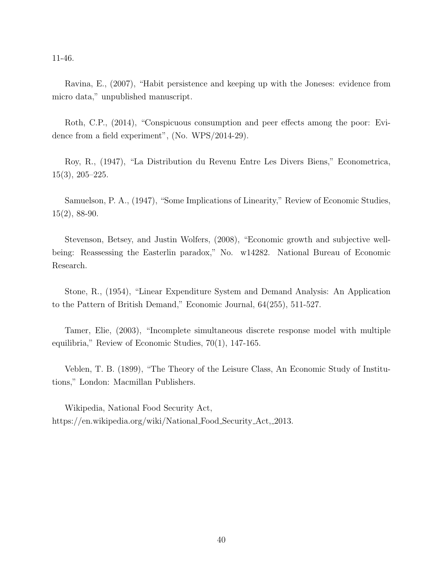11-46.

Ravina, E., (2007), "Habit persistence and keeping up with the Joneses: evidence from micro data," unpublished manuscript.

Roth, C.P., (2014), "Conspicuous consumption and peer effects among the poor: Evidence from a field experiment", (No. WPS/2014-29).

Roy, R., (1947), "La Distribution du Revenu Entre Les Divers Biens," Econometrica, 15(3), 205–225.

Samuelson, P. A., (1947), "Some Implications of Linearity," Review of Economic Studies, 15(2), 88-90.

Stevenson, Betsey, and Justin Wolfers, (2008), "Economic growth and subjective wellbeing: Reassessing the Easterlin paradox," No. w14282. National Bureau of Economic Research.

Stone, R., (1954), "Linear Expenditure System and Demand Analysis: An Application to the Pattern of British Demand," Economic Journal, 64(255), 511-527.

Tamer, Elie, (2003), "Incomplete simultaneous discrete response model with multiple equilibria," Review of Economic Studies, 70(1), 147-165.

Veblen, T. B. (1899), "The Theory of the Leisure Class, An Economic Study of Institutions," London: Macmillan Publishers.

Wikipedia, National Food Security Act, https://en.wikipedia.org/wiki/National Food Security Act, 2013.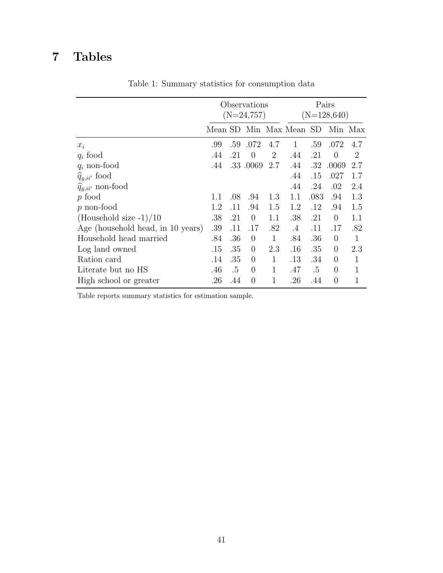# <span id="page-41-0"></span>7 Tables

|                                   |         |        | Observations<br>$(N=24,757)$ |              | Pairs<br>$(N=128,640)$  |         |                  |                |
|-----------------------------------|---------|--------|------------------------------|--------------|-------------------------|---------|------------------|----------------|
|                                   |         |        |                              |              | Mean SD Min Max Mean SD |         | Min Max          |                |
| $x_i$                             | .99     | .59    | .072                         | 4.7          | $\mathbf{1}$            | .59     | .072             | 4.7            |
| $q_i$ food                        | .44     | .21    | $\theta$                     | 2            | .44                     | .21     | $\left( \right)$ | $\overline{2}$ |
| $q_i$ non-food                    | .44     |        | .33 .0069                    | 2.7          | .44                     | $.32\,$ | .0069            | 2.7            |
| $\widehat{q}_{g,ii'}$ food        |         |        |                              |              | .44                     | .15     | .027             | 1.7            |
| $q_{g,ii'}$ non-food              |         |        |                              |              | .44                     | .24     | .02              | 2.4            |
| $p$ food                          | $1.1\,$ | .08    | .94                          | 1.3          | 1.1                     | .083    | .94              | 1.3            |
| $p$ non-food                      | 1.2     | .11    | .94                          | 1.5          | 1.2                     | .12     | .94              | 1.5            |
| (Household size $-1$ )/10         | .38     | .21    | $\overline{0}$               | 1.1          | .38                     | .21     | $\Omega$         | 1.1            |
| Age (household head, in 10 years) | .39     | .11    | .17                          | .82          | $.4\,$                  | .11     | .17              | .82            |
| Household head married            | .84     | .36    | $\theta$                     | 1            | .84                     | .36     | $\theta$         | $\mathbf{1}$   |
| Log land owned                    | .15     | .35    | $\theta$                     | 2.3          | .16                     | .35     | $\overline{0}$   | 2.3            |
| Ration card                       | .14     | .35    | $\theta$                     | 1            | .13                     | .34     | $\overline{0}$   | 1              |
| Literate but no HS                | .46     | $.5\,$ | $\theta$                     | 1            | .47                     | .5      | $\theta$         | $\mathbf{1}$   |
| High school or greater            | .26     | .44    | $\theta$                     | $\mathbf{1}$ | .26                     | .44     | $\theta$         | 1              |

Table 1: Summary statistics for consumption data

Table reports summary statistics for estimation sample.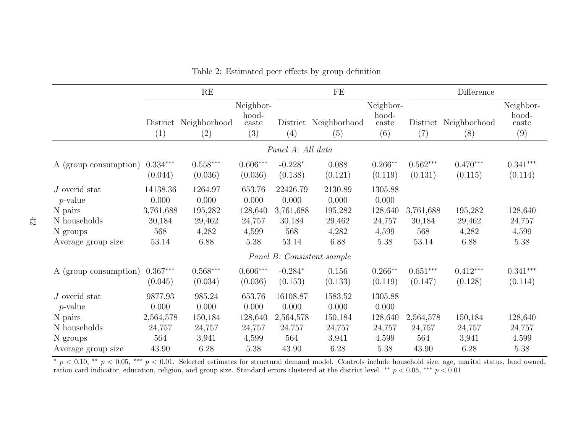|                       |                       | RE                    |                             | FE                   |                            |                             | Difference            |                       |                             |
|-----------------------|-----------------------|-----------------------|-----------------------------|----------------------|----------------------------|-----------------------------|-----------------------|-----------------------|-----------------------------|
|                       |                       | District Neighborhood | Neighbor-<br>hood-<br>caste |                      | District Neighborhood      | Neighbor-<br>hood-<br>caste |                       | District Neighborhood | Neighbor-<br>hood-<br>caste |
|                       | (1)                   | (2)                   | (3)                         | (4)                  | (5)                        | (6)                         | (7)                   | (8)                   | (9)                         |
|                       |                       |                       |                             | Panel A: All data    |                            |                             |                       |                       |                             |
| A (group consumption) | $0.334***$<br>(0.044) | $0.558***$<br>(0.036) | $0.606***$<br>(0.036)       | $-0.228*$<br>(0.138) | 0.088<br>(0.121)           | $0.266**$<br>(0.119)        | $0.562***$<br>(0.131) | $0.470***$<br>(0.115) | $0.341***$<br>(0.114)       |
| $J$ overid stat       | 14138.36              | 1264.97               | 653.76                      | 22426.79             | 2130.89                    | 1305.88                     |                       |                       |                             |
| $p$ -value            | 0.000                 | 0.000                 | 0.000                       | 0.000                | 0.000                      | 0.000                       |                       |                       |                             |
| N pairs               | 3,761,688             | 195,282               | 128,640                     | 3,761,688            | 195,282                    | 128,640                     | 3,761,688             | 195,282               | 128,640                     |
| N households          | 30,184                | 29,462                | 24,757                      | 30,184               | 29,462                     | 24,757                      | 30,184                | 29,462                | 24,757                      |
| N groups              | 568                   | 4,282                 | 4,599                       | 568                  | 4,282                      | 4,599                       | 568                   | 4,282                 | 4,599                       |
| Average group size    | 53.14                 | 6.88                  | 5.38                        | 53.14                | 6.88                       | 5.38                        | 53.14                 | 6.88                  | 5.38                        |
|                       |                       |                       |                             |                      | Panel B: Consistent sample |                             |                       |                       |                             |
| A (group consumption) | $0.367***$            | $0.568***$            | $0.606***$                  | $-0.284*$            | 0.156                      | $0.266**$                   | $0.651***$            | $0.412***$            | $0.341***$                  |
|                       | (0.045)               | (0.034)               | (0.036)                     | (0.153)              | (0.133)                    | (0.119)                     | (0.147)               | (0.128)               | (0.114)                     |
| $J$ overid stat       | 9877.93               | 985.24                | 653.76                      | 16108.87             | 1583.52                    | 1305.88                     |                       |                       |                             |
| $p$ -value            | 0.000                 | 0.000                 | 0.000                       | 0.000                | 0.000                      | 0.000                       |                       |                       |                             |
| N pairs               | 2,564,578             | 150,184               | 128,640                     | 2,564,578            | 150,184                    | 128,640                     | 2,564,578             | 150,184               | 128,640                     |
| N households          | 24,757                | 24,757                | 24,757                      | 24,757               | 24,757                     | 24,757                      | 24,757                | 24,757                | 24,757                      |
| N groups              | 564                   | 3,941                 | 4,599                       | 564                  | 3,941                      | 4,599                       | 564                   | 3,941                 | 4,599                       |
| Average group size    | 43.90                 | 6.28                  | 5.38                        | 43.90                | 6.28                       | 5.38                        | 43.90                 | 6.28                  | 5.38                        |

Table 2: Estimated peer effects by group definition

<span id="page-42-0"></span> $p < 0.10$ ,  $* p < 0.05$ ,  $** p < 0.01$ . Selected estimates for structural demand model. Controls include household size, age, marital status, land owned, ration card indicator, education, religion, and group size. Standard errors clustered at the district level. <sup>\*\*</sup>  $p < 0.05$ , \*\*\*  $p < 0.01$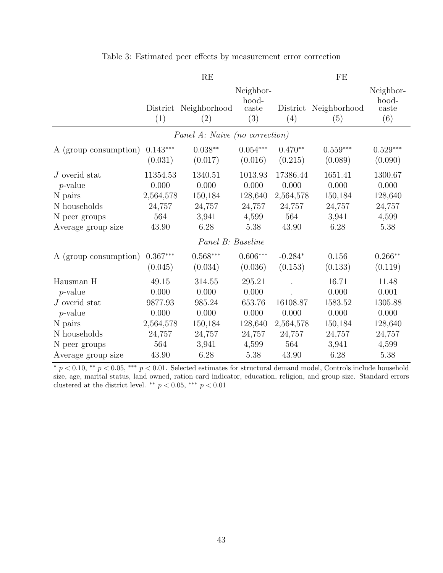<span id="page-43-0"></span>

|                       |                        | RE                             |                    |           | FE           |                    |  |  |
|-----------------------|------------------------|--------------------------------|--------------------|-----------|--------------|--------------------|--|--|
|                       |                        |                                | Neighbor-<br>hood- |           |              | Neighbor-<br>hood- |  |  |
|                       | District               | Neighborhood                   | caste              | District  | Neighborhood | caste              |  |  |
|                       | (1)                    | $\left( 2\right)$              | (3)                | (4)       | (5)          | (6)                |  |  |
|                       |                        | Panel A: Naive (no correction) |                    |           |              |                    |  |  |
| A (group consumption) | $0.143***$             | $0.038**$                      | $0.054***$         | $0.470**$ | $0.559***$   | $0.529***$         |  |  |
|                       | (0.031)                | (0.017)                        | (0.016)            | (0.215)   | (0.089)      | (0.090)            |  |  |
| J overid stat         | 11354.53               | 1340.51                        | 1013.93            | 17386.44  | 1651.41      | 1300.67            |  |  |
| $p$ -value            | 0.000                  | 0.000                          | 0.000              | 0.000     | 0.000        | 0.000              |  |  |
| N pairs               | 2,564,578              | 150,184                        | 128,640            | 2,564,578 | 150,184      | 128,640            |  |  |
| N households          | 24,757                 | 24,757                         | 24,757             | 24,757    | 24,757       | 24,757             |  |  |
| N peer groups         | 564                    | 3,941                          | 4,599              | 564       | 3,941        | 4,599              |  |  |
| Average group size    | 43.90                  | 6.28                           | 5.38               | 43.90     | 6.28         | 5.38               |  |  |
|                       |                        | Panel B: Baseline              |                    |           |              |                    |  |  |
| A (group consumption) | $0.367^{\ast\ast\ast}$ | $0.568***$                     | $0.606***$         | $-0.284*$ | 0.156        | $0.266**$          |  |  |
|                       | (0.045)                | (0.034)                        | (0.036)            | (0.153)   | (0.133)      | (0.119)            |  |  |
| Hausman H             | 49.15                  | 314.55                         | 295.21             |           | 16.71        | 11.48              |  |  |
| $p$ -value            | 0.000                  | 0.000                          | 0.000              |           | 0.000        | 0.001              |  |  |
| $J$ overid stat       | 9877.93                | 985.24                         | 653.76             | 16108.87  | 1583.52      | 1305.88            |  |  |
| $p$ -value            | 0.000                  | 0.000                          | 0.000              | 0.000     | 0.000        | 0.000              |  |  |
| N pairs               | 2,564,578              | 150,184                        | 128,640            | 2,564,578 | 150,184      | 128,640            |  |  |
| N households          | 24,757                 | 24,757                         | 24,757             | 24,757    | 24,757       | 24,757             |  |  |
| N peer groups         | 564                    | 3,941                          | 4,599              | 564       | 3,941        | 4,599              |  |  |
| Average group size    | 43.90                  | 6.28                           | $5.38\,$           | 43.90     | 6.28         | $5.38\,$           |  |  |

| Table 3: Estimated peer effects by measurement error correction |
|-----------------------------------------------------------------|
|                                                                 |

 $\frac{p}{p} < 0.10$ , \*\*  $p < 0.05$ , \*\*\*  $p < 0.01$ . Selected estimates for structural demand model, Controls include household size, age, marital status, land owned, ration card indicator, education, religion, and group size. Standard errors clustered at the district level. \*\* $p < 0.05,$ \*\*\* $p < 0.01$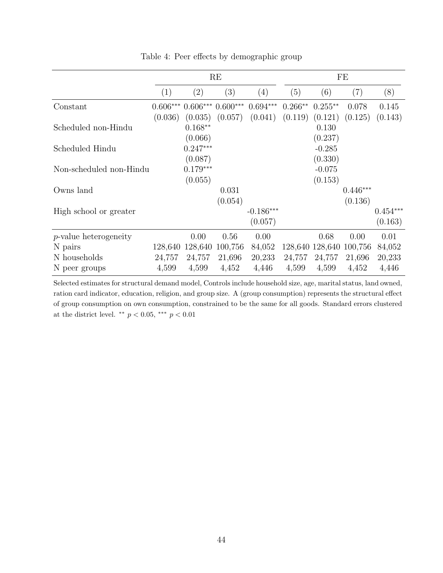<span id="page-44-0"></span>

|                          |            | RE         |            |             |           | FE              |            |                 |  |
|--------------------------|------------|------------|------------|-------------|-----------|-----------------|------------|-----------------|--|
|                          | (1)        | (2)        | (3)        | (4)         | (5)       | (6)             | (7)        | (8)             |  |
| Constant                 | $0.606***$ | $0.606***$ | $0.600***$ | $0.694***$  | $0.266**$ | $0.255***$      | 0.078      | 0.145           |  |
|                          | (0.036)    | (0.035)    | (0.057)    | (0.041)     | (0.119)   | (0.121)         | (0.125)    | (0.143)         |  |
| Scheduled non-Hindu      |            | $0.168**$  |            |             |           | 0.130           |            |                 |  |
|                          |            | (0.066)    |            |             |           | (0.237)         |            |                 |  |
| Scheduled Hindu          |            | $0.247***$ |            |             |           | $-0.285$        |            |                 |  |
|                          |            | (0.087)    |            |             |           | (0.330)         |            |                 |  |
| Non-scheduled non-Hindu  |            | $0.179***$ |            |             |           | $-0.075$        |            |                 |  |
|                          |            | (0.055)    |            |             |           | (0.153)         |            |                 |  |
| Owns land                |            |            | 0.031      |             |           |                 | $0.446***$ |                 |  |
|                          |            |            | (0.054)    |             |           |                 | (0.136)    |                 |  |
| High school or greater   |            |            |            | $-0.186***$ |           |                 |            | $0.454^{***}\,$ |  |
|                          |            |            |            | (0.057)     |           |                 |            | (0.163)         |  |
| $p$ -value heterogeneity |            | 0.00       | 0.56       | 0.00        |           | 0.68            | 0.00       | 0.01            |  |
| N pairs                  | 128,640    | 128,640    | 100,756    | 84,052      |           | 128,640 128,640 | 100,756    | 84,052          |  |
| N households             | 24,757     | 24,757     | 21,696     | 20,233      | 24,757    | 24,757          | 21,696     | 20,233          |  |
| N peer groups            | 4,599      | 4,599      | 4,452      | 4,446       | 4,599     | 4,599           | 4,452      | 4,446           |  |

Table 4: Peer effects by demographic group

Selected estimates for structural demand model, Controls include household size, age, marital status, land owned, ration card indicator, education, religion, and group size. A (group consumption) represents the structural effect of group consumption on own consumption, constrained to be the same for all goods. Standard errors clustered at the district level. \*\*  $p < 0.05$ , \*\*\*  $p < 0.01$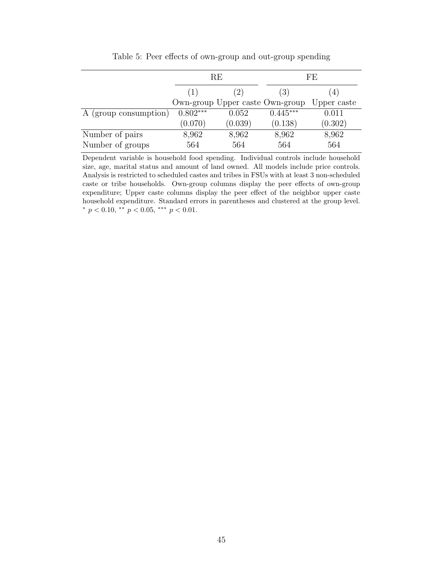<span id="page-45-0"></span>

|                       |            | RE                              |            | FE          |
|-----------------------|------------|---------------------------------|------------|-------------|
|                       | (2)        |                                 | (3)        | 4)          |
|                       |            | Own-group Upper caste Own-group |            | Upper caste |
| A (group consumption) | $0.802***$ | 0.052                           | $0.445***$ | 0.011       |
|                       | (0.070)    | (0.039)                         | (0.138)    | (0.302)     |
| Number of pairs       | 8,962      | 8,962                           | 8,962      | 8,962       |
| Number of groups      | 564        | 564                             | 564        | 564         |

Table 5: Peer effects of own-group and out-group spending

Dependent variable is household food spending. Individual controls include household size, age, marital status and amount of land owned. All models include price controls. Analysis is restricted to scheduled castes and tribes in FSUs with at least 3 non-scheduled caste or tribe households. Own-group columns display the peer effects of own-group expenditure; Upper caste columns display the peer effect of the neighbor upper caste household expenditure. Standard errors in parentheses and clustered at the group level. \*  $p < 0.10$ , \*\*  $p < 0.05$ , \*\*\*  $p < 0.01$ .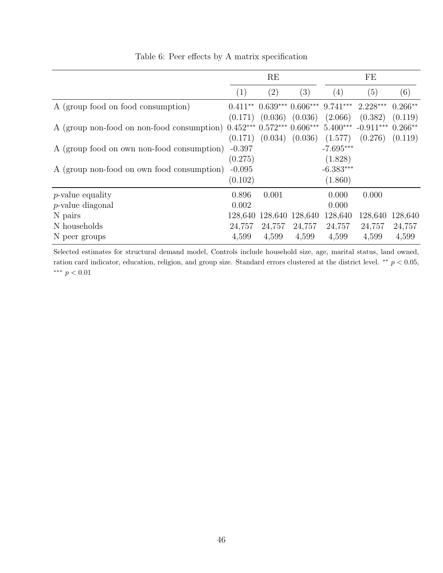<span id="page-46-0"></span>

|                                                                               |          | RE                  |                     |                                             | FE                  |           |
|-------------------------------------------------------------------------------|----------|---------------------|---------------------|---------------------------------------------|---------------------|-----------|
|                                                                               | (1)      | (2)                 | (3)                 | $\left( 4\right)$                           | (5)                 | (6)       |
| A (group food on food consumption)                                            |          |                     |                     | $0.411***$ $0.639***$ $0.606***$ $9.741***$ | $2.228***$          | $0.266**$ |
|                                                                               | (0.171)  | $(0.036)$ $(0.036)$ |                     | (2.066)                                     | (0.382)             | (0.119)   |
| A (group non-food on non-food consumption) $0.452***0.572***0.606***5.400***$ |          |                     |                     |                                             | $-0.911***$ 0.266** |           |
|                                                                               | (0.171)  |                     | $(0.034)$ $(0.036)$ | (1.577)                                     | (0.276)             | (0.119)   |
| A (group food on own non-food consumption)                                    | $-0.397$ |                     |                     | $-7.695***$                                 |                     |           |
|                                                                               | (0.275)  |                     |                     | (1.828)                                     |                     |           |
| A (group non-food on own food consumption)                                    | $-0.095$ |                     |                     | $-6.383***$                                 |                     |           |
|                                                                               | (0.102)  |                     |                     | (1.860)                                     |                     |           |
| $p$ -value equality                                                           | 0.896    | 0.001               |                     | 0.000                                       | 0.000               |           |
| $p$ -value diagonal                                                           | 0.002    |                     |                     | 0.000                                       |                     |           |
| N pairs                                                                       |          | 128,640 128,640     | 128,640             | 128,640                                     | 128,640             | 128,640   |
| N households                                                                  | 24,757   | 24,757              | 24,757              | 24,757                                      | 24,757              | 24,757    |
| N peer groups                                                                 | 4,599    | 4,599               | 4,599               | 4,599                                       | 4,599               | 4,599     |

Table 6: Peer effects by A matrix specification

Selected estimates for structural demand model, Controls include household size, age, marital status, land owned, ration card indicator, education, religion, and group size. Standard errors clustered at the district level.  $**$   $p < 0.05$ , ∗∗∗ p < 0.01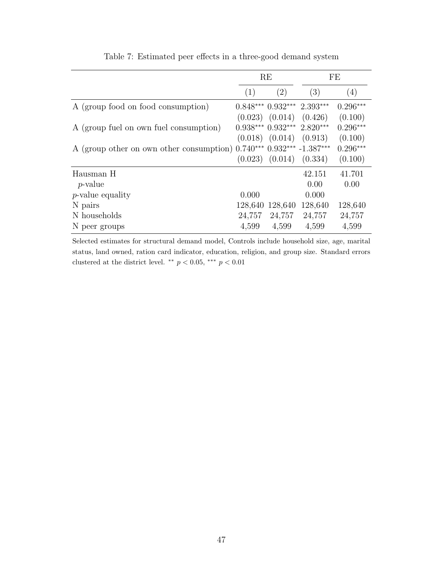<span id="page-47-0"></span>

|                                                                          | RE      |                                  |         | FE         |  |
|--------------------------------------------------------------------------|---------|----------------------------------|---------|------------|--|
|                                                                          | (1)     | (2)                              | (3)     | (4)        |  |
| A (group food on food consumption)                                       |         | $0.848***$ $0.932***$ $2.393***$ |         | $0.296***$ |  |
|                                                                          |         | $(0.023)$ $(0.014)$ $(0.426)$    |         | (0.100)    |  |
| A (group fuel on own fuel consumption)                                   |         | $0.938***0.932***2.820***$       |         | $0.296***$ |  |
|                                                                          |         | $(0.018)$ $(0.014)$ $(0.913)$    |         | (0.100)    |  |
| A (group other on own other consumption) $0.740***$ $0.932***$ -1.387*** |         |                                  |         | $0.296***$ |  |
|                                                                          |         | $(0.023)$ $(0.014)$              | (0.334) | (0.100)    |  |
| Hausman H                                                                |         |                                  | 42.151  | 41.701     |  |
| <i>p</i> -value                                                          |         |                                  | 0.00    | 0.00       |  |
| $p$ -value equality                                                      | 0.000   |                                  | 0.000   |            |  |
| N pairs                                                                  | 128,640 | 128,640                          | 128,640 | 128,640    |  |
| N households                                                             | 24,757  | 24,757                           | 24,757  | 24,757     |  |
| N peer groups                                                            | 4,599   | 4,599                            | 4,599   | 4,599      |  |

Table 7: Estimated peer effects in a three-good demand system

Selected estimates for structural demand model, Controls include household size, age, marital status, land owned, ration card indicator, education, religion, and group size. Standard errors clustered at the district level. \*\*  $p < 0.05$ , \*\*\*  $p < 0.01$